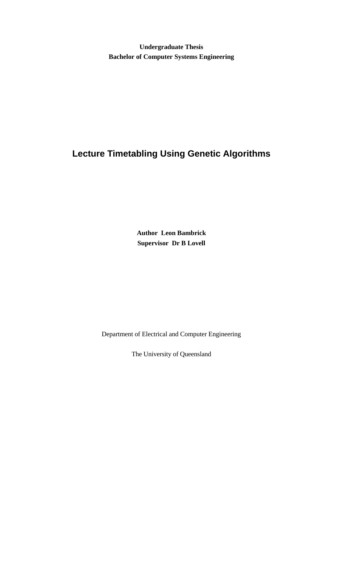**Undergraduate Thesis Bachelor of Computer Systems Engineering**

# **Lecture Timetabling Using Genetic Algorithms**

**Author Leon Bambrick Supervisor Dr B Lovell**

Department of Electrical and Computer Engineering

The University of Queensland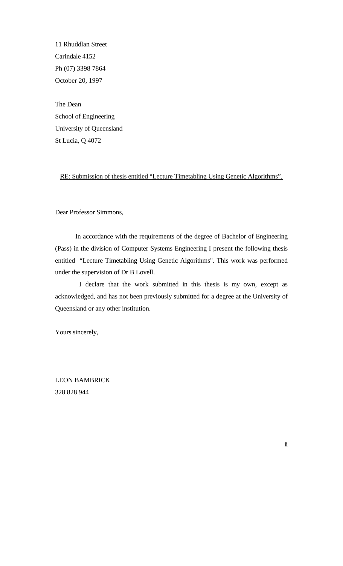11 Rhuddlan Street Carindale 4152 Ph (07) 3398 7864 October 20, 1997

The Dean School of Engineering University of Queensland St Lucia, Q 4072

RE: Submission of thesis entitled "Lecture Timetabling Using Genetic Algorithms".

Dear Professor Simmons,

In accordance with the requirements of the degree of Bachelor of Engineering (Pass) in the division of Computer Systems Engineering I present the following thesis entitled "Lecture Timetabling Using Genetic Algorithms". This work was performed under the supervision of Dr B Lovell.

 I declare that the work submitted in this thesis is my own, except as acknowledged, and has not been previously submitted for a degree at the University of Queensland or any other institution.

Yours sincerely,

LEON BAMBRICK 328 828 944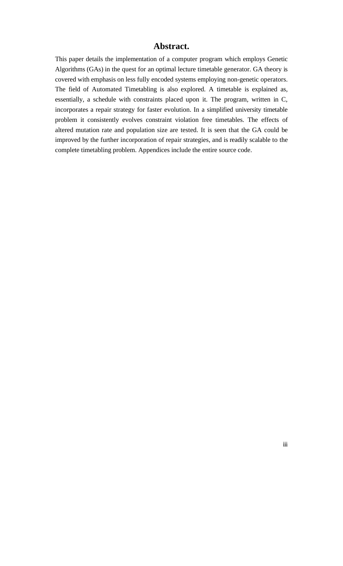### **Abstract.**

This paper details the implementation of a computer program which employs Genetic Algorithms (GAs) in the quest for an optimal lecture timetable generator. GA theory is covered with emphasis on less fully encoded systems employing non-genetic operators. The field of Automated Timetabling is also explored. A timetable is explained as, essentially, a schedule with constraints placed upon it. The program, written in C, incorporates a repair strategy for faster evolution. In a simplified university timetable problem it consistently evolves constraint violation free timetables. The effects of altered mutation rate and population size are tested. It is seen that the GA could be improved by the further incorporation of repair strategies, and is readily scalable to the complete timetabling problem. Appendices include the entire source code.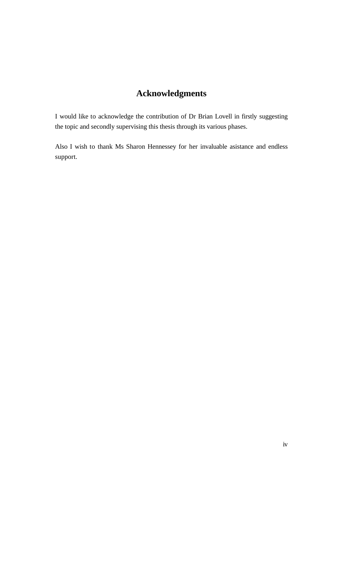# **Acknowledgments**

I would like to acknowledge the contribution of Dr Brian Lovell in firstly suggesting the topic and secondly supervising this thesis through its various phases.

Also I wish to thank Ms Sharon Hennessey for her invaluable asistance and endless support.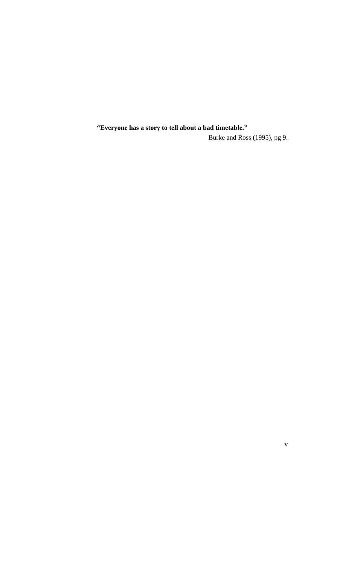**"Everyone has a story to tell about a bad timetable."**

Burke and Ross (1995), pg 9.

v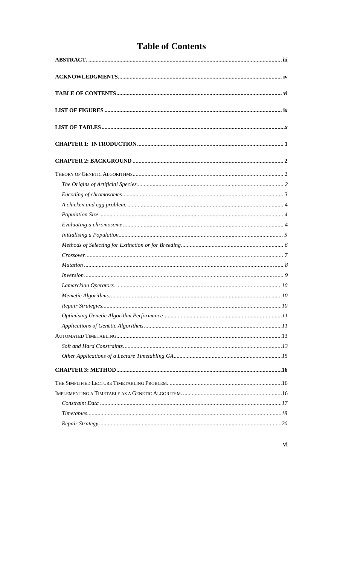# **Table of Contents**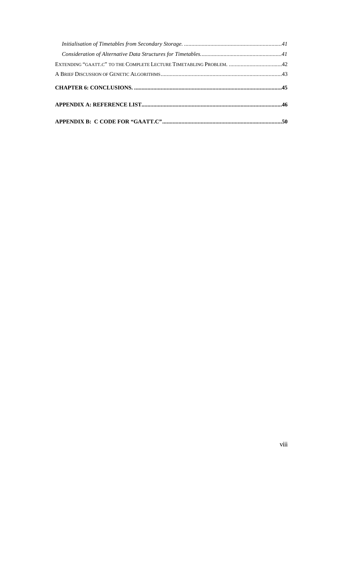| EXTENDING "GAATT.C" TO THE COMPLETE LECTURE TIMETABLING PROBLEM. 42 |  |
|---------------------------------------------------------------------|--|
|                                                                     |  |
|                                                                     |  |
|                                                                     |  |
|                                                                     |  |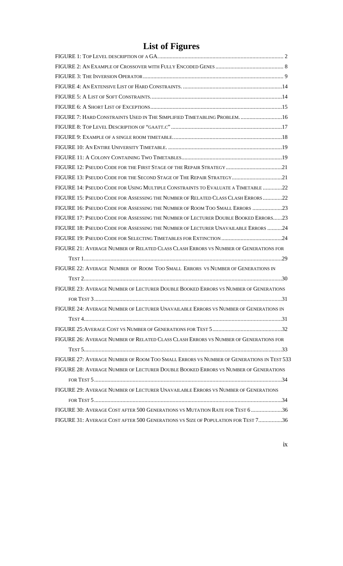# **List of Figures**

| FIGURE 7: HARD CONSTRAINTS USED IN THE SIMPLIFIED TIMETABLING PROBLEM.  16              |
|-----------------------------------------------------------------------------------------|
|                                                                                         |
|                                                                                         |
|                                                                                         |
|                                                                                         |
|                                                                                         |
| FIGURE 13: PSEUDO CODE FOR THE SECOND STAGE OF THE REPAIR STRATEGY21                    |
| FIGURE 14: PSEUDO CODE FOR USING MULTIPLE CONSTRAINTS TO EVALUATE A TIMETABLE 22        |
| FIGURE 15: PSEUDO CODE FOR ASSESSING THE NUMBER OF RELATED CLASS CLASH ERRORS 22        |
| FIGURE 16: PSEUDO CODE FOR ASSESSING THE NUMBER OF ROOM TOO SMALL ERRORS 23             |
| FIGURE 17: PSEUDO CODE FOR ASSESSING THE NUMBER OF LECTURER DOUBLE BOOKED ERRORS23      |
| FIGURE 18: PSEUDO CODE FOR ASSESSING THE NUMBER OF LECTURER UNAVAILABLE ERRORS 24       |
|                                                                                         |
| FIGURE 21: AVERAGE NUMBER OF RELATED CLASS CLASH ERRORS VS NUMBER OF GENERATIONS FOR    |
|                                                                                         |
| FIGURE 22: AVERAGE NUMBER OF ROOM TOO SMALL ERRORS VS NUMBER OF GENERATIONS IN          |
|                                                                                         |
| FIGURE 23: AVERAGE NUMBER OF LECTURER DOUBLE BOOKED ERRORS VS NUMBER OF GENERATIONS     |
|                                                                                         |
| FIGURE 24: AVERAGE NUMBER OF LECTURER UNAVAILABLE ERRORS VS NUMBER OF GENERATIONS IN    |
|                                                                                         |
|                                                                                         |
| FIGURE 26: AVERAGE NUMBER OF RELATED CLASS CLASH ERRORS VS NUMBER OF GENERATIONS FOR    |
|                                                                                         |
| FIGURE 27: AVERAGE NUMBER OF ROOM TOO SMALL ERRORS VS NUMBER OF GENERATIONS IN TEST 533 |
| FIGURE 28: AVERAGE NUMBER OF LECTURER DOUBLE BOOKED ERRORS VS NUMBER OF GENERATIONS     |
|                                                                                         |
| FIGURE 29: AVERAGE NUMBER OF LECTURER UNAVAILABLE ERRORS VS NUMBER OF GENERATIONS       |
|                                                                                         |
| FIGURE 30: AVERAGE COST AFTER 500 GENERATIONS VS MUTATION RATE FOR TEST 6 36            |
| FIGURE 31: AVERAGE COST AFTER 500 GENERATIONS VS SIZE OF POPULATION FOR TEST 736        |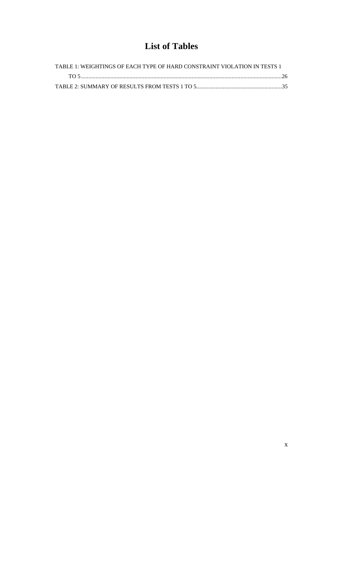# **List of Tables**

| TABLE 1: WEIGHTINGS OF EACH TYPE OF HARD CONSTRAINT VIOLATION IN TESTS 1 |  |
|--------------------------------------------------------------------------|--|
|                                                                          |  |
|                                                                          |  |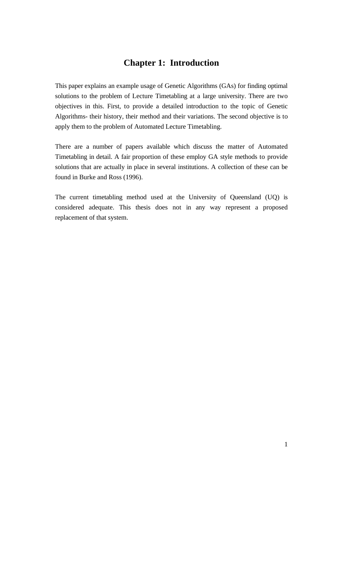## **Chapter 1: Introduction**

This paper explains an example usage of Genetic Algorithms (GAs) for finding optimal solutions to the problem of Lecture Timetabling at a large university. There are two objectives in this. First, to provide a detailed introduction to the topic of Genetic Algorithms- their history, their method and their variations. The second objective is to apply them to the problem of Automated Lecture Timetabling.

There are a number of papers available which discuss the matter of Automated Timetabling in detail. A fair proportion of these employ GA style methods to provide solutions that are actually in place in several institutions. A collection of these can be found in Burke and Ross (1996).

The current timetabling method used at the University of Queensland (UQ) is considered adequate. This thesis does not in any way represent a proposed replacement of that system.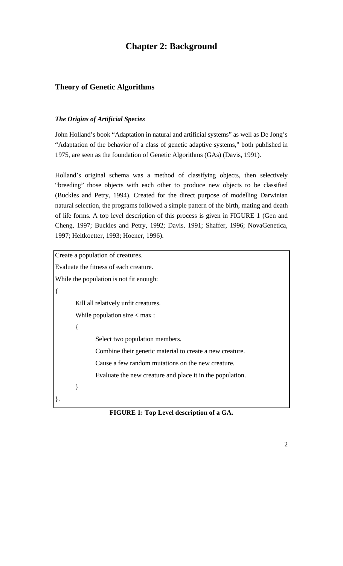# **Chapter 2: Background**

## **Theory of Genetic Algorithms**

#### *The Origins of Artificial Species*

John Holland's book "Adaptation in natural and artificial systems" as well as De Jong's "Adaptation of the behavior of a class of genetic adaptive systems," both published in 1975, are seen as the foundation of Genetic Algorithms (GAs) (Davis, 1991).

Holland's original schema was a method of classifying objects, then selectively "breeding" those objects with each other to produce new objects to be classified (Buckles and Petry, 1994). Created for the direct purpose of modelling Darwinian natural selection, the programs followed a simple pattern of the birth, mating and death of life forms. A top level description of this process is given in FIGURE 1 (Gen and Cheng, 1997; Buckles and Petry, 1992; Davis, 1991; Shaffer, 1996; NovaGenetica, 1997; Heitkoetter, 1993; Hoener, 1996).

```
Create a population of creatures.
Evaluate the fitness of each creature.
While the population is not fit enough:
{
       Kill all relatively unfit creatures.
       While population size < max :
       {
               Select two population members.
               Combine their genetic material to create a new creature.
               Cause a few random mutations on the new creature.
               Evaluate the new creature and place it in the population.
       }
}.
```
**FIGURE 1: Top Level description of a GA.**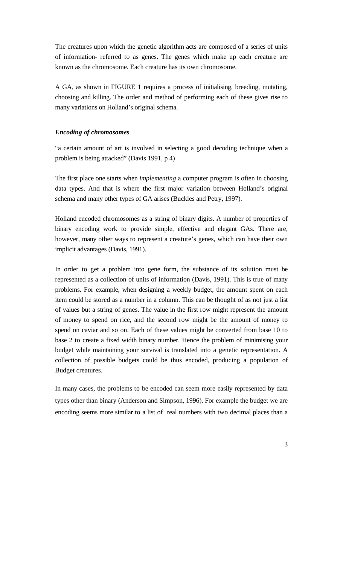The creatures upon which the genetic algorithm acts are composed of a series of units of information- referred to as genes. The genes which make up each creature are known as the chromosome. Each creature has its own chromosome.

A GA, as shown in FIGURE 1 requires a process of initialising, breeding, mutating, choosing and killing. The order and method of performing each of these gives rise to many variations on Holland's original schema.

#### *Encoding of chromosomes*

"a certain amount of art is involved in selecting a good decoding technique when a problem is being attacked" (Davis 1991, p 4)

The first place one starts when *implementing* a computer program is often in choosing data types. And that is where the first major variation between Holland's original schema and many other types of GA arises (Buckles and Petry, 1997).

Holland encoded chromosomes as a string of binary digits. A number of properties of binary encoding work to provide simple, effective and elegant GAs. There are, however, many other ways to represent a creature's genes, which can have their own implicit advantages (Davis, 1991).

In order to get a problem into gene form, the substance of its solution must be represented as a collection of units of information (Davis, 1991). This is true of many problems. For example, when designing a weekly budget, the amount spent on each item could be stored as a number in a column. This can be thought of as not just a list of values but a string of genes. The value in the first row might represent the amount of money to spend on rice, and the second row might be the amount of money to spend on caviar and so on. Each of these values might be converted from base 10 to base 2 to create a fixed width binary number. Hence the problem of minimising your budget while maintaining your survival is translated into a genetic representation. A collection of possible budgets could be thus encoded, producing a population of Budget creatures.

In many cases, the problems to be encoded can seem more easily represented by data types other than binary (Anderson and Simpson, 1996). For example the budget we are encoding seems more similar to a list of real numbers with two decimal places than a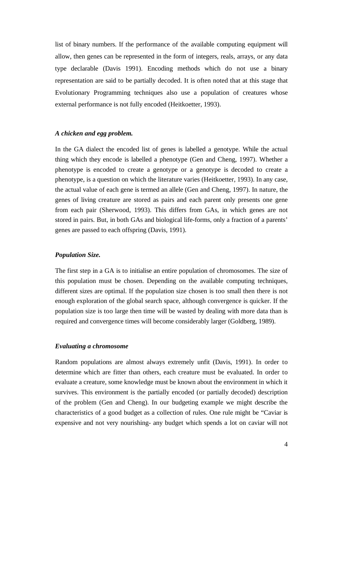list of binary numbers. If the performance of the available computing equipment will allow, then genes can be represented in the form of integers, reals, arrays, or any data type declarable (Davis 1991). Encoding methods which do not use a binary representation are said to be partially decoded. It is often noted that at this stage that Evolutionary Programming techniques also use a population of creatures whose external performance is not fully encoded (Heitkoetter, 1993).

#### *A chicken and egg problem.*

In the GA dialect the encoded list of genes is labelled a genotype. While the actual thing which they encode is labelled a phenotype (Gen and Cheng, 1997). Whether a phenotype is encoded to create a genotype or a genotype is decoded to create a phenotype, is a question on which the literature varies (Heitkoetter, 1993). In any case, the actual value of each gene is termed an allele (Gen and Cheng, 1997). In nature, the genes of living creature are stored as pairs and each parent only presents one gene from each pair (Sherwood, 1993). This differs from GAs, in which genes are not stored in pairs. But, in both GAs and biological life-forms, only a fraction of a parents' genes are passed to each offspring (Davis, 1991).

#### *Population Size.*

The first step in a GA is to initialise an entire population of chromosomes. The size of this population must be chosen. Depending on the available computing techniques, different sizes are optimal. If the population size chosen is too small then there is not enough exploration of the global search space, although convergence is quicker. If the population size is too large then time will be wasted by dealing with more data than is required and convergence times will become considerably larger (Goldberg, 1989).

#### *Evaluating a chromosome*

Random populations are almost always extremely unfit (Davis, 1991). In order to determine which are fitter than others, each creature must be evaluated. In order to evaluate a creature, some knowledge must be known about the environment in which it survives. This environment is the partially encoded (or partially decoded) description of the problem (Gen and Cheng). In our budgeting example we might describe the characteristics of a good budget as a collection of rules. One rule might be "Caviar is expensive and not very nourishing- any budget which spends a lot on caviar will not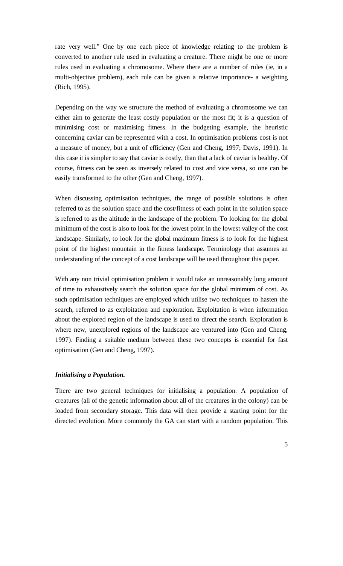rate very well." One by one each piece of knowledge relating to the problem is converted to another rule used in evaluating a creature. There might be one or more rules used in evaluating a chromosome. Where there are a number of rules (ie, in a multi-objective problem), each rule can be given a relative importance- a weighting (Rich, 1995).

Depending on the way we structure the method of evaluating a chromosome we can either aim to generate the least costly population or the most fit; it is a question of minimising cost or maximising fitness. In the budgeting example, the heuristic concerning caviar can be represented with a cost. In optimisation problems cost is not a measure of money, but a unit of efficiency (Gen and Cheng, 1997; Davis, 1991). In this case it is simpler to say that caviar is costly, than that a lack of caviar is healthy. Of course, fitness can be seen as inversely related to cost and vice versa, so one can be easily transformed to the other (Gen and Cheng, 1997).

When discussing optimisation techniques, the range of possible solutions is often referred to as the solution space and the cost/fitness of each point in the solution space is referred to as the altitude in the landscape of the problem. To looking for the global minimum of the cost is also to look for the lowest point in the lowest valley of the cost landscape. Similarly, to look for the global maximum fitness is to look for the highest point of the highest mountain in the fitness landscape. Terminology that assumes an understanding of the concept of a cost landscape will be used throughout this paper.

With any non trivial optimisation problem it would take an unreasonably long amount of time to exhaustively search the solution space for the global minimum of cost. As such optimisation techniques are employed which utilise two techniques to hasten the search, referred to as exploitation and exploration. Exploitation is when information about the explored region of the landscape is used to direct the search. Exploration is where new, unexplored regions of the landscape are ventured into (Gen and Cheng, 1997). Finding a suitable medium between these two concepts is essential for fast optimisation (Gen and Cheng, 1997).

#### *Initialising a Population.*

There are two general techniques for initialising a population. A population of creatures (all of the genetic information about all of the creatures in the colony) can be loaded from secondary storage. This data will then provide a starting point for the directed evolution. More commonly the GA can start with a random population. This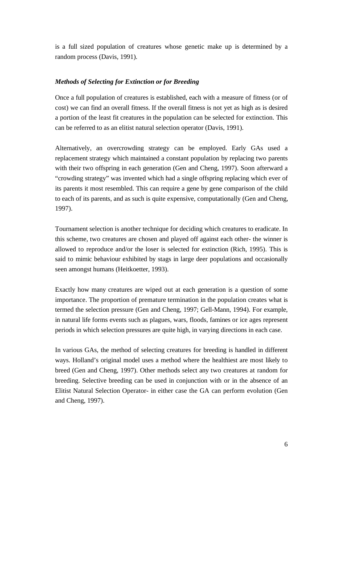is a full sized population of creatures whose genetic make up is determined by a random process (Davis, 1991).

#### *Methods of Selecting for Extinction or for Breeding*

Once a full population of creatures is established, each with a measure of fitness (or of cost) we can find an overall fitness. If the overall fitness is not yet as high as is desired a portion of the least fit creatures in the population can be selected for extinction. This can be referred to as an elitist natural selection operator (Davis, 1991).

Alternatively, an overcrowding strategy can be employed. Early GAs used a replacement strategy which maintained a constant population by replacing two parents with their two offspring in each generation (Gen and Cheng, 1997). Soon afterward a "crowding strategy" was invented which had a single offspring replacing which ever of its parents it most resembled. This can require a gene by gene comparison of the child to each of its parents, and as such is quite expensive, computationally (Gen and Cheng, 1997).

Tournament selection is another technique for deciding which creatures to eradicate. In this scheme, two creatures are chosen and played off against each other- the winner is allowed to reproduce and/or the loser is selected for extinction (Rich, 1995). This is said to mimic behaviour exhibited by stags in large deer populations and occasionally seen amongst humans (Heitkoetter, 1993).

Exactly how many creatures are wiped out at each generation is a question of some importance. The proportion of premature termination in the population creates what is termed the selection pressure (Gen and Cheng, 1997; Gell-Mann, 1994). For example, in natural life forms events such as plagues, wars, floods, famines or ice ages represent periods in which selection pressures are quite high, in varying directions in each case.

In various GAs, the method of selecting creatures for breeding is handled in different ways. Holland's original model uses a method where the healthiest are most likely to breed (Gen and Cheng, 1997). Other methods select any two creatures at random for breeding. Selective breeding can be used in conjunction with or in the absence of an Elitist Natural Selection Operator- in either case the GA can perform evolution (Gen and Cheng, 1997).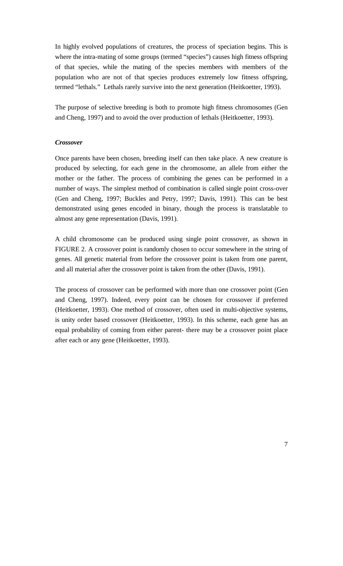In highly evolved populations of creatures, the process of speciation begins. This is where the intra-mating of some groups (termed "species") causes high fitness offspring of that species, while the mating of the species members with members of the population who are not of that species produces extremely low fitness offspring, termed "lethals." Lethals rarely survive into the next generation (Heitkoetter, 1993).

The purpose of selective breeding is both to promote high fitness chromosomes (Gen and Cheng, 1997) and to avoid the over production of lethals (Heitkoetter, 1993).

#### *Crossover*

Once parents have been chosen, breeding itself can then take place. A new creature is produced by selecting, for each gene in the chromosome, an allele from either the mother or the father. The process of combining the genes can be performed in a number of ways. The simplest method of combination is called single point cross-over (Gen and Cheng, 1997; Buckles and Petry, 1997; Davis, 1991). This can be best demonstrated using genes encoded in binary, though the process is translatable to almost any gene representation (Davis, 1991).

A child chromosome can be produced using single point crossover, as shown in FIGURE 2. A crossover point is randomly chosen to occur somewhere in the string of genes. All genetic material from before the crossover point is taken from one parent, and all material after the crossover point is taken from the other (Davis, 1991).

The process of crossover can be performed with more than one crossover point (Gen and Cheng, 1997). Indeed, every point can be chosen for crossover if preferred (Heitkoetter, 1993). One method of crossover, often used in multi-objective systems, is unity order based crossover (Heitkoetter, 1993). In this scheme, each gene has an equal probability of coming from either parent- there may be a crossover point place after each or any gene (Heitkoetter, 1993).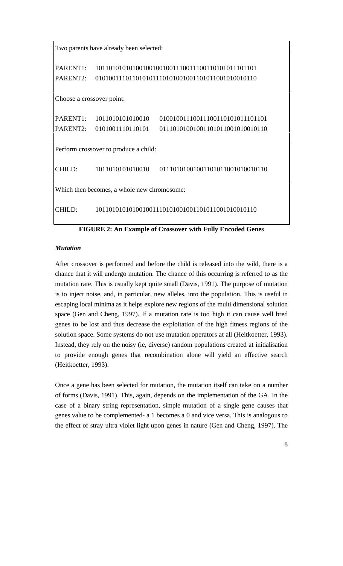| Two parents have already been selected:     |                                                        |                                                                      |  |  |  |
|---------------------------------------------|--------------------------------------------------------|----------------------------------------------------------------------|--|--|--|
| PARENT1:<br>PARENT2:                        |                                                        |                                                                      |  |  |  |
| Choose a crossover point:                   |                                                        |                                                                      |  |  |  |
|                                             | PARENT1: 1011010101010010<br>PARENT2: 0101001110110101 | 01001001110011100110101011101101<br>01110101001001101011001010010110 |  |  |  |
| Perform crossover to produce a child:       |                                                        |                                                                      |  |  |  |
| CHILD:                                      |                                                        |                                                                      |  |  |  |
| Which then becomes, a whole new chromosome: |                                                        |                                                                      |  |  |  |
| CHILD:                                      |                                                        |                                                                      |  |  |  |

**FIGURE 2: An Example of Crossover with Fully Encoded Genes**

### *Mutation*

After crossover is performed and before the child is released into the wild, there is a chance that it will undergo mutation. The chance of this occurring is referred to as the mutation rate. This is usually kept quite small (Davis, 1991). The purpose of mutation is to inject noise, and, in particular, new alleles, into the population. This is useful in escaping local minima as it helps explore new regions of the multi dimensional solution space (Gen and Cheng, 1997). If a mutation rate is too high it can cause well bred genes to be lost and thus decrease the exploitation of the high fitness regions of the solution space. Some systems do not use mutation operators at all (Heitkoetter, 1993). Instead, they rely on the noisy (ie, diverse) random populations created at initialisation to provide enough genes that recombination alone will yield an effective search (Heitkoetter, 1993).

Once a gene has been selected for mutation, the mutation itself can take on a number of forms (Davis, 1991). This, again, depends on the implementation of the GA. In the case of a binary string representation, simple mutation of a single gene causes that genes value to be complemented- a 1 becomes a 0 and vice versa. This is analogous to the effect of stray ultra violet light upon genes in nature (Gen and Cheng, 1997). The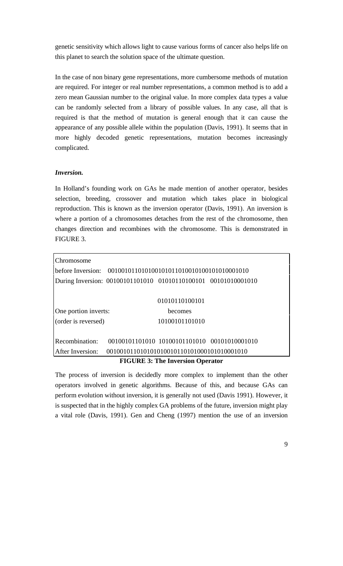genetic sensitivity which allows light to cause various forms of cancer also helps life on this planet to search the solution space of the ultimate question.

In the case of non binary gene representations, more cumbersome methods of mutation are required. For integer or real number representations, a common method is to add a zero mean Gaussian number to the original value. In more complex data types a value can be randomly selected from a library of possible values. In any case, all that is required is that the method of mutation is general enough that it can cause the appearance of any possible allele within the population (Davis, 1991). It seems that in more highly decoded genetic representations, mutation becomes increasingly complicated.

#### *Inversion.*

In Holland's founding work on GAs he made mention of another operator, besides selection, breeding, crossover and mutation which takes place in biological reproduction. This is known as the inversion operator (Davis, 1991). An inversion is where a portion of a chromosomes detaches from the rest of the chromosome, then changes direction and recombines with the chromosome. This is demonstrated in FIGURE 3.

| Chromosome           |                                                                |                                              |  |
|----------------------|----------------------------------------------------------------|----------------------------------------------|--|
|                      |                                                                |                                              |  |
|                      | During Inversion: 00100101101010 01010110100101 00101010001010 |                                              |  |
|                      |                                                                |                                              |  |
|                      |                                                                | 01010110100101                               |  |
| One portion inverts: |                                                                | becomes                                      |  |
| (order is reversed)  |                                                                | 10100101101010                               |  |
|                      |                                                                |                                              |  |
| Recombination:       |                                                                | 00100101101010 10100101101010 00101010001010 |  |
| After Inversion:     |                                                                |                                              |  |
|                      |                                                                |                                              |  |

#### **FIGURE 3: The Inversion Operator**

The process of inversion is decidedly more complex to implement than the other operators involved in genetic algorithms. Because of this, and because GAs can perform evolution without inversion, it is generally not used (Davis 1991). However, it is suspected that in the highly complex GA problems of the future, inversion might play a vital role (Davis, 1991). Gen and Cheng (1997) mention the use of an inversion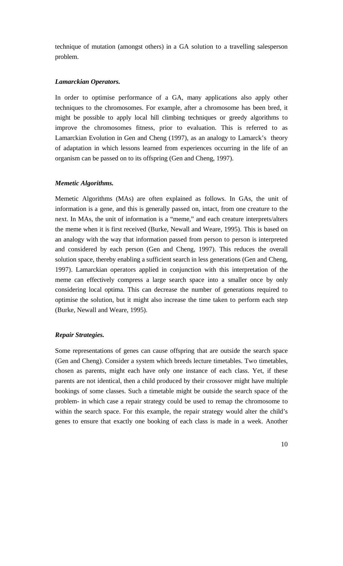technique of mutation (amongst others) in a GA solution to a travelling salesperson problem.

#### *Lamarckian Operators.*

In order to optimise performance of a GA, many applications also apply other techniques to the chromosomes. For example, after a chromosome has been bred, it might be possible to apply local hill climbing techniques or greedy algorithms to improve the chromosomes fitness, prior to evaluation. This is referred to as Lamarckian Evolution in Gen and Cheng (1997), as an analogy to Lamarck's theory of adaptation in which lessons learned from experiences occurring in the life of an organism can be passed on to its offspring (Gen and Cheng, 1997).

#### *Memetic Algorithms.*

Memetic Algorithms (MAs) are often explained as follows. In GAs, the unit of information is a gene, and this is generally passed on, intact, from one creature to the next. In MAs, the unit of information is a "meme," and each creature interprets/alters the meme when it is first received (Burke, Newall and Weare, 1995). This is based on an analogy with the way that information passed from person to person is interpreted and considered by each person (Gen and Cheng, 1997). This reduces the overall solution space, thereby enabling a sufficient search in less generations (Gen and Cheng, 1997). Lamarckian operators applied in conjunction with this interpretation of the meme can effectively compress a large search space into a smaller once by only considering local optima. This can decrease the number of generations required to optimise the solution, but it might also increase the time taken to perform each step (Burke, Newall and Weare, 1995).

#### *Repair Strategies.*

Some representations of genes can cause offspring that are outside the search space (Gen and Cheng). Consider a system which breeds lecture timetables. Two timetables, chosen as parents, might each have only one instance of each class. Yet, if these parents are not identical, then a child produced by their crossover might have multiple bookings of some classes. Such a timetable might be outside the search space of the problem- in which case a repair strategy could be used to remap the chromosome to within the search space. For this example, the repair strategy would alter the child's genes to ensure that exactly one booking of each class is made in a week. Another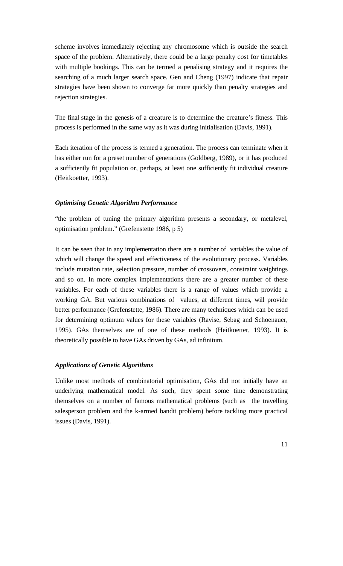scheme involves immediately rejecting any chromosome which is outside the search space of the problem. Alternatively, there could be a large penalty cost for timetables with multiple bookings. This can be termed a penalising strategy and it requires the searching of a much larger search space. Gen and Cheng (1997) indicate that repair strategies have been shown to converge far more quickly than penalty strategies and rejection strategies.

The final stage in the genesis of a creature is to determine the creature's fitness. This process is performed in the same way as it was during initialisation (Davis, 1991).

Each iteration of the process is termed a generation. The process can terminate when it has either run for a preset number of generations (Goldberg, 1989), or it has produced a sufficiently fit population or, perhaps, at least one sufficiently fit individual creature (Heitkoetter, 1993).

#### *Optimising Genetic Algorithm Performance*

"the problem of tuning the primary algorithm presents a secondary, or metalevel, optimisation problem." (Grefenstette 1986, p 5)

It can be seen that in any implementation there are a number of variables the value of which will change the speed and effectiveness of the evolutionary process. Variables include mutation rate, selection pressure, number of crossovers, constraint weightings and so on. In more complex implementations there are a greater number of these variables. For each of these variables there is a range of values which provide a working GA. But various combinations of values, at different times, will provide better performance (Grefenstette, 1986). There are many techniques which can be used for determining optimum values for these variables (Ravise, Sebag and Schoenauer, 1995). GAs themselves are of one of these methods (Heitkoetter, 1993). It is theoretically possible to have GAs driven by GAs, ad infinitum.

#### *Applications of Genetic Algorithms*

Unlike most methods of combinatorial optimisation, GAs did not initially have an underlying mathematical model. As such, they spent some time demonstrating themselves on a number of famous mathematical problems (such as the travelling salesperson problem and the k-armed bandit problem) before tackling more practical issues (Davis, 1991).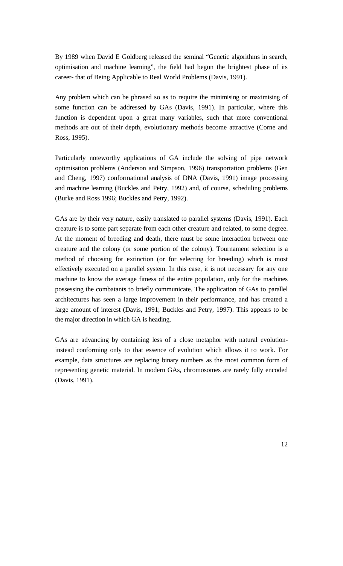By 1989 when David E Goldberg released the seminal "Genetic algorithms in search, optimisation and machine learning", the field had begun the brightest phase of its career- that of Being Applicable to Real World Problems (Davis, 1991).

Any problem which can be phrased so as to require the minimising or maximising of some function can be addressed by GAs (Davis, 1991). In particular, where this function is dependent upon a great many variables, such that more conventional methods are out of their depth, evolutionary methods become attractive (Corne and Ross, 1995).

Particularly noteworthy applications of GA include the solving of pipe network optimisation problems (Anderson and Simpson, 1996) transportation problems (Gen and Cheng, 1997) conformational analysis of DNA (Davis, 1991) image processing and machine learning (Buckles and Petry, 1992) and, of course, scheduling problems (Burke and Ross 1996; Buckles and Petry, 1992).

GAs are by their very nature, easily translated to parallel systems (Davis, 1991). Each creature is to some part separate from each other creature and related, to some degree. At the moment of breeding and death, there must be some interaction between one creature and the colony (or some portion of the colony). Tournament selection is a method of choosing for extinction (or for selecting for breeding) which is most effectively executed on a parallel system. In this case, it is not necessary for any one machine to know the average fitness of the entire population, only for the machines possessing the combatants to briefly communicate. The application of GAs to parallel architectures has seen a large improvement in their performance, and has created a large amount of interest (Davis, 1991; Buckles and Petry, 1997). This appears to be the major direction in which GA is heading.

GAs are advancing by containing less of a close metaphor with natural evolutioninstead conforming only to that essence of evolution which allows it to work. For example, data structures are replacing binary numbers as the most common form of representing genetic material. In modern GAs, chromosomes are rarely fully encoded (Davis, 1991).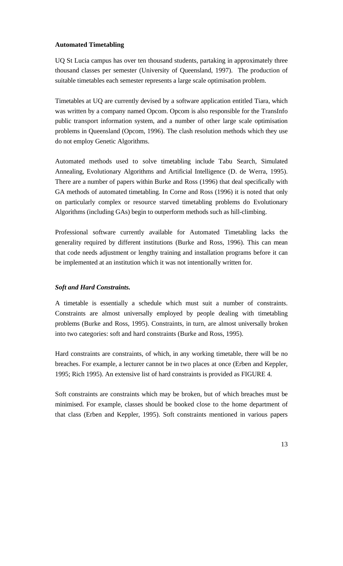#### **Automated Timetabling**

UQ St Lucia campus has over ten thousand students, partaking in approximately three thousand classes per semester (University of Queensland, 1997). The production of suitable timetables each semester represents a large scale optimisation problem.

Timetables at UQ are currently devised by a software application entitled Tiara, which was written by a company named Opcom. Opcom is also responsible for the TransInfo public transport information system, and a number of other large scale optimisation problems in Queensland (Opcom, 1996). The clash resolution methods which they use do not employ Genetic Algorithms.

Automated methods used to solve timetabling include Tabu Search, Simulated Annealing, Evolutionary Algorithms and Artificial Intelligence (D. de Werra, 1995). There are a number of papers within Burke and Ross (1996) that deal specifically with GA methods of automated timetabling. In Corne and Ross (1996) it is noted that only on particularly complex or resource starved timetabling problems do Evolutionary Algorithms (including GAs) begin to outperform methods such as hill-climbing.

Professional software currently available for Automated Timetabling lacks the generality required by different institutions (Burke and Ross, 1996). This can mean that code needs adjustment or lengthy training and installation programs before it can be implemented at an institution which it was not intentionally written for.

#### *Soft and Hard Constraints.*

A timetable is essentially a schedule which must suit a number of constraints. Constraints are almost universally employed by people dealing with timetabling problems (Burke and Ross, 1995). Constraints, in turn, are almost universally broken into two categories: soft and hard constraints (Burke and Ross, 1995).

Hard constraints are constraints, of which, in any working timetable, there will be no breaches. For example, a lecturer cannot be in two places at once (Erben and Keppler, 1995; Rich 1995). An extensive list of hard constraints is provided as FIGURE 4.

Soft constraints are constraints which may be broken, but of which breaches must be minimised. For example, classes should be booked close to the home department of that class (Erben and Keppler, 1995). Soft constraints mentioned in various papers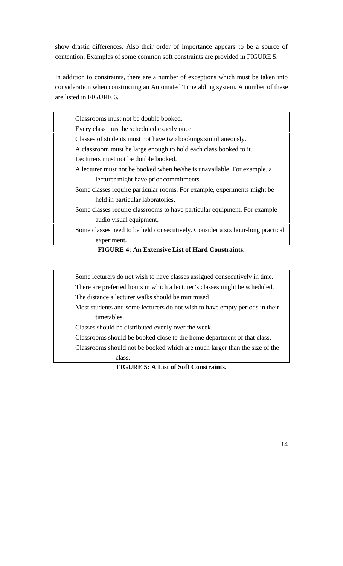show drastic differences. Also their order of importance appears to be a source of contention. Examples of some common soft constraints are provided in FIGURE 5.

In addition to constraints, there are a number of exceptions which must be taken into consideration when constructing an Automated Timetabling system. A number of these are listed in FIGURE 6.

Classrooms must not be double booked. Every class must be scheduled exactly once. Classes of students must not have two bookings simultaneously. A classroom must be large enough to hold each class booked to it. Lecturers must not be double booked. A lecturer must not be booked when he/she is unavailable. For example, a lecturer might have prior commitments. Some classes require particular rooms. For example, experiments might be held in particular laboratories. Some classes require classrooms to have particular equipment. For example audio visual equipment. Some classes need to be held consecutively. Consider a six hour-long practical experiment.

#### **FIGURE 4: An Extensive List of Hard Constraints.**

Some lecturers do not wish to have classes assigned consecutively in time. There are preferred hours in which a lecturer's classes might be scheduled. The distance a lecturer walks should be minimised

Most students and some lecturers do not wish to have empty periods in their timetables.

Classes should be distributed evenly over the week.

Classrooms should be booked close to the home department of that class.

Classrooms should not be booked which are much larger than the size of the class.

**FIGURE 5: A List of Soft Constraints.**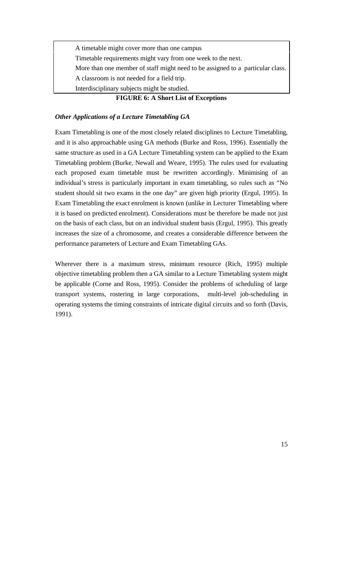A timetable might cover more than one campus Timetable requirements might vary from one week to the next. More than one member of staff might need to be assigned to a particular class. A classroom is not needed for a field trip. Interdisciplinary subjects might be studied.

#### **FIGURE 6: A Short List of Exceptions**

#### *Other Applications of a Lecture Timetabling GA*

Exam Timetabling is one of the most closely related disciplines to Lecture Timetabling, and it is also approachable using GA methods (Burke and Ross, 1996). Essentially the same structure as used in a GA Lecture Timetabling system can be applied to the Exam Timetabling problem (Burke, Newall and Weare, 1995). The rules used for evaluating each proposed exam timetable must be rewritten accordingly. Minimising of an individual's stress is particularly important in exam timetabling, so rules such as "No student should sit two exams in the one day" are given high priority (Ergul, 1995). In Exam Timetabling the exact enrolment is known (unlike in Lecturer Timetabling where it is based on predicted enrolment). Considerations must be therefore be made not just on the basis of each class, but on an individual student basis (Ergul, 1995). This greatly increases the size of a chromosome, and creates a considerable difference between the performance parameters of Lecture and Exam Timetabling GAs.

Wherever there is a maximum stress, minimum resource (Rich, 1995) multiple objective timetabling problem then a GA similar to a Lecture Timetabling system might be applicable (Corne and Ross, 1995). Consider the problems of scheduling of large transport systems, rostering in large corporations, multi-level job-scheduling in operating systems the timing constraints of intricate digital circuits and so forth (Davis, 1991).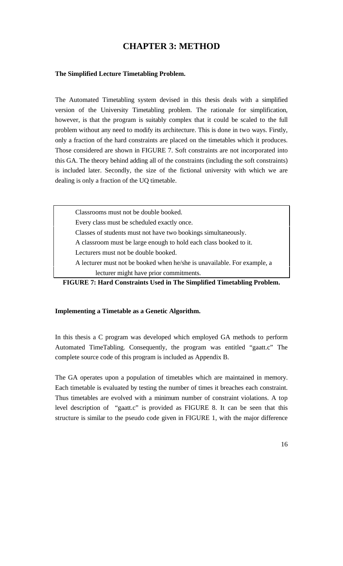# **CHAPTER 3: METHOD**

#### **The Simplified Lecture Timetabling Problem.**

The Automated Timetabling system devised in this thesis deals with a simplified version of the University Timetabling problem. The rationale for simplification, however, is that the program is suitably complex that it could be scaled to the full problem without any need to modify its architecture. This is done in two ways. Firstly, only a fraction of the hard constraints are placed on the timetables which it produces. Those considered are shown in FIGURE 7. Soft constraints are not incorporated into this GA. The theory behind adding all of the constraints (including the soft constraints) is included later. Secondly, the size of the fictional university with which we are dealing is only a fraction of the UQ timetable.

Classrooms must not be double booked. Every class must be scheduled exactly once. Classes of students must not have two bookings simultaneously. A classroom must be large enough to hold each class booked to it. Lecturers must not be double booked. A lecturer must not be booked when he/she is unavailable. For example, a lecturer might have prior commitments.

**FIGURE 7: Hard Constraints Used in The Simplified Timetabling Problem.**

#### **Implementing a Timetable as a Genetic Algorithm.**

In this thesis a C program was developed which employed GA methods to perform Automated TimeTabling. Consequently, the program was entitled "gaatt.c" The complete source code of this program is included as Appendix B.

The GA operates upon a population of timetables which are maintained in memory. Each timetable is evaluated by testing the number of times it breaches each constraint. Thus timetables are evolved with a minimum number of constraint violations. A top level description of "gaatt.c" is provided as FIGURE 8. It can be seen that this structure is similar to the pseudo code given in FIGURE 1, with the major difference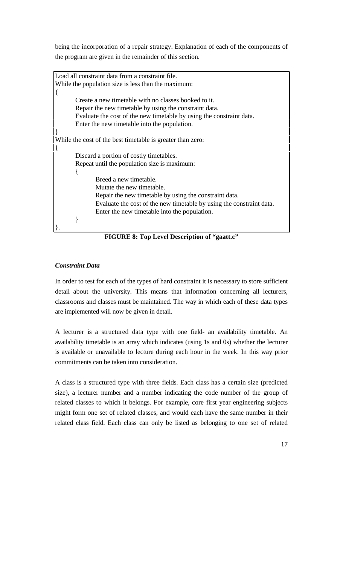being the incorporation of a repair strategy. Explanation of each of the components of the program are given in the remainder of this section.

Load all constraint data from a constraint file. While the population size is less than the maximum: { Create a new timetable with no classes booked to it. Repair the new timetable by using the constraint data. Evaluate the cost of the new timetable by using the constraint data. Enter the new timetable into the population. } While the cost of the best timetable is greater than zero: { Discard a portion of costly timetables. Repeat until the population size is maximum: { Breed a new timetable. Mutate the new timetable. Repair the new timetable by using the constraint data. Evaluate the cost of the new timetable by using the constraint data. Enter the new timetable into the population. } }.

**FIGURE 8: Top Level Description of "gaatt.c"**

## *Constraint Data*

In order to test for each of the types of hard constraint it is necessary to store sufficient detail about the university. This means that information concerning all lecturers, classrooms and classes must be maintained. The way in which each of these data types are implemented will now be given in detail.

A lecturer is a structured data type with one field- an availability timetable. An availability timetable is an array which indicates (using 1s and 0s) whether the lecturer is available or unavailable to lecture during each hour in the week. In this way prior commitments can be taken into consideration.

A class is a structured type with three fields. Each class has a certain size (predicted size), a lecturer number and a number indicating the code number of the group of related classes to which it belongs. For example, core first year engineering subjects might form one set of related classes, and would each have the same number in their related class field. Each class can only be listed as belonging to one set of related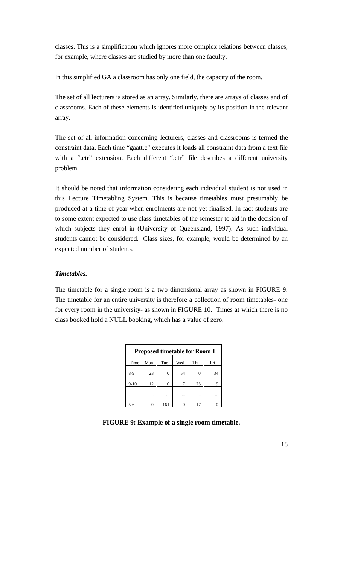classes. This is a simplification which ignores more complex relations between classes, for example, where classes are studied by more than one faculty.

In this simplified GA a classroom has only one field, the capacity of the room.

The set of all lecturers is stored as an array. Similarly, there are arrays of classes and of classrooms. Each of these elements is identified uniquely by its position in the relevant array.

The set of all information concerning lecturers, classes and classrooms is termed the constraint data. Each time "gaatt.c" executes it loads all constraint data from a text file with a ".ctr" extension. Each different ".ctr" file describes a different university problem.

It should be noted that information considering each individual student is not used in this Lecture Timetabling System. This is because timetables must presumably be produced at a time of year when enrolments are not yet finalised. In fact students are to some extent expected to use class timetables of the semester to aid in the decision of which subjects they enrol in (University of Queensland, 1997). As such individual students cannot be considered. Class sizes, for example, would be determined by an expected number of students.

#### *Timetables.*

The timetable for a single room is a two dimensional array as shown in FIGURE 9. The timetable for an entire university is therefore a collection of room timetables- one for every room in the university- as shown in FIGURE 10. Times at which there is no class booked hold a NULL booking, which has a value of zero.

| <b>Proposed timetable for Room 1</b> |     |     |     |     |     |
|--------------------------------------|-----|-----|-----|-----|-----|
| Time                                 | Mon | Tue | Wed | Thu | Fri |
| $8-9$                                | 23  | 0   | 54  | 0   | 34  |
| $9-10$                               | 12  | 0   | 7   | 23  |     |
|                                      |     |     |     |     |     |
| 5-6                                  |     | 161 |     | 17  |     |

**FIGURE 9: Example of a single room timetable.**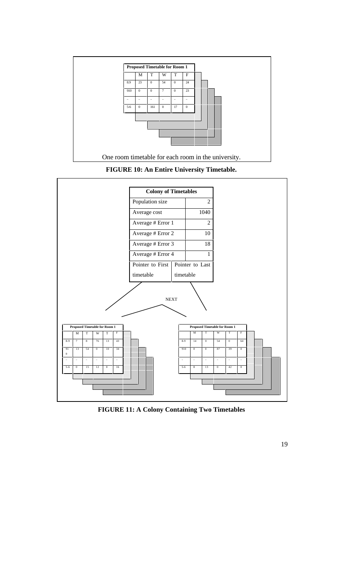





**FIGURE 11: A Colony Containing Two Timetables**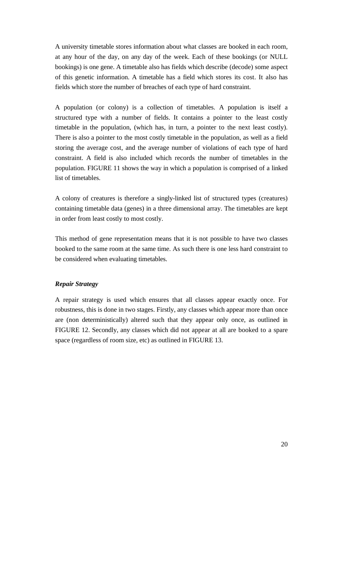A university timetable stores information about what classes are booked in each room, at any hour of the day, on any day of the week. Each of these bookings (or NULL bookings) is one gene. A timetable also has fields which describe (decode) some aspect of this genetic information. A timetable has a field which stores its cost. It also has fields which store the number of breaches of each type of hard constraint.

A population (or colony) is a collection of timetables. A population is itself a structured type with a number of fields. It contains a pointer to the least costly timetable in the population, (which has, in turn, a pointer to the next least costly). There is also a pointer to the most costly timetable in the population, as well as a field storing the average cost, and the average number of violations of each type of hard constraint. A field is also included which records the number of timetables in the population. FIGURE 11 shows the way in which a population is comprised of a linked list of timetables.

A colony of creatures is therefore a singly-linked list of structured types (creatures) containing timetable data (genes) in a three dimensional array. The timetables are kept in order from least costly to most costly.

This method of gene representation means that it is not possible to have two classes booked to the same room at the same time. As such there is one less hard constraint to be considered when evaluating timetables.

#### *Repair Strategy*

A repair strategy is used which ensures that all classes appear exactly once. For robustness, this is done in two stages. Firstly, any classes which appear more than once are (non deterministically) altered such that they appear only once, as outlined in FIGURE 12. Secondly, any classes which did not appear at all are booked to a spare space (regardless of room size, etc) as outlined in FIGURE 13.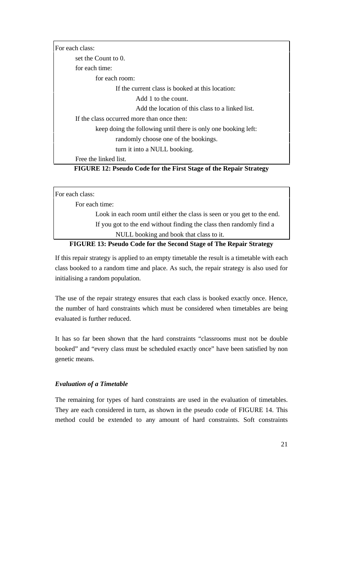For each class: set the Count to 0. for each time: for each room: If the current class is booked at this location: Add 1 to the count. Add the location of this class to a linked list. If the class occurred more than once then: keep doing the following until there is only one booking left: randomly choose one of the bookings. turn it into a NULL booking. Free the linked list.

# **FIGURE 12: Pseudo Code for the First Stage of the Repair Strategy**

| For each class:                                                           |
|---------------------------------------------------------------------------|
| For each time:                                                            |
| Look in each room until either the class is seen or you get to the end.   |
| If you got to the end without finding the class then randomly find a      |
| NULL booking and book that class to it.                                   |
| <b>FIGURE 13: Pseudo Code for the Second Stage of The Repair Strategy</b> |

If this repair strategy is applied to an empty timetable the result is a timetable with each class booked to a random time and place. As such, the repair strategy is also used for initialising a random population.

The use of the repair strategy ensures that each class is booked exactly once. Hence, the number of hard constraints which must be considered when timetables are being evaluated is further reduced.

It has so far been shown that the hard constraints "classrooms must not be double booked" and "every class must be scheduled exactly once" have been satisfied by non genetic means.

#### *Evaluation of a Timetable*

The remaining for types of hard constraints are used in the evaluation of timetables. They are each considered in turn, as shown in the pseudo code of FIGURE 14. This method could be extended to any amount of hard constraints. Soft constraints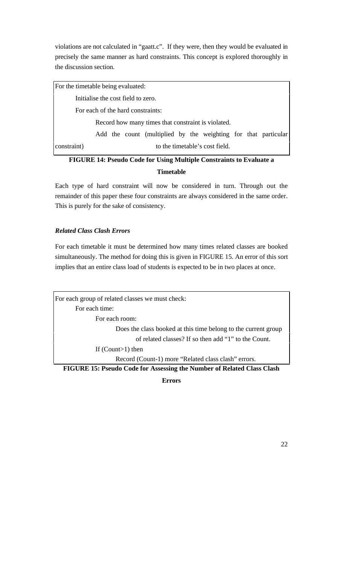violations are not calculated in "gaatt.c". If they were, then they would be evaluated in precisely the same manner as hard constraints. This concept is explored thoroughly in the discussion section.

For the timetable being evaluated: Initialise the cost field to zero. For each of the hard constraints: Record how many times that constraint is violated. Add the count (multiplied by the weighting for that particular constraint) to the timetable's cost field.

# **FIGURE 14: Pseudo Code for Using Multiple Constraints to Evaluate a Timetable**

Each type of hard constraint will now be considered in turn. Through out the remainder of this paper these four constraints are always considered in the same order. This is purely for the sake of consistency.

# *Related Class Clash Errors*

For each timetable it must be determined how many times related classes are booked simultaneously. The method for doing this is given in FIGURE 15. An error of this sort implies that an entire class load of students is expected to be in two places at once.

For each group of related classes we must check: For each time: For each room: Does the class booked at this time belong to the current group of related classes? If so then add "1" to the Count. If (Count>1) then Record (Count-1) more "Related class clash" errors.

**FIGURE 15: Pseudo Code for Assessing the Number of Related Class Clash**

**Errors**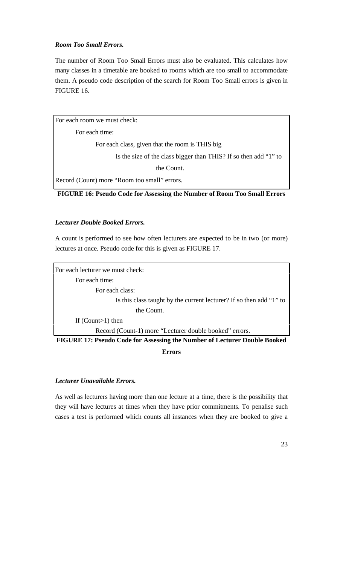#### *Room Too Small Errors.*

The number of Room Too Small Errors must also be evaluated. This calculates how many classes in a timetable are booked to rooms which are too small to accommodate them. A pseudo code description of the search for Room Too Small errors is given in FIGURE 16.

For each room we must check: For each time: For each class, given that the room is THIS big Is the size of the class bigger than THIS? If so then add "1" to the Count. Record (Count) more "Room too small" errors.

**FIGURE 16: Pseudo Code for Assessing the Number of Room Too Small Errors**

#### *Lecturer Double Booked Errors.*

A count is performed to see how often lecturers are expected to be in two (or more) lectures at once. Pseudo code for this is given as FIGURE 17.

For each lecturer we must check: For each time: For each class: Is this class taught by the current lecturer? If so then add "1" to the Count. If (Count>1) then Record (Count-1) more "Lecturer double booked" errors.

**FIGURE 17: Pseudo Code for Assessing the Number of Lecturer Double Booked Errors**

#### *Lecturer Unavailable Errors.*

As well as lecturers having more than one lecture at a time, there is the possibility that they will have lectures at times when they have prior commitments. To penalise such cases a test is performed which counts all instances when they are booked to give a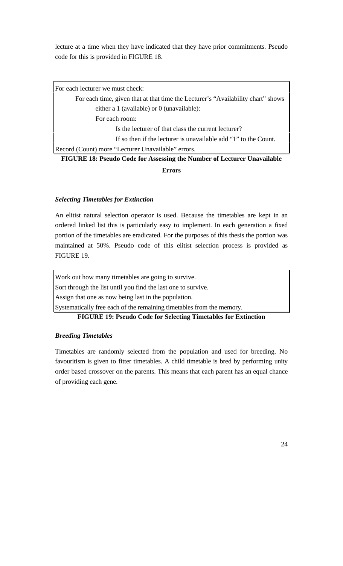lecture at a time when they have indicated that they have prior commitments. Pseudo code for this is provided in FIGURE 18.

| For each lecturer we must check:                                                 |
|----------------------------------------------------------------------------------|
| For each time, given that at that time the Lecturer's "Availability chart" shows |
| either a 1 (available) or $0$ (unavailable):                                     |
| For each room:                                                                   |
| Is the lecturer of that class the current lecturer?                              |
| If so then if the lecturer is unavailable add "1" to the Count.                  |
| Record (Count) more "Lecturer Unavailable" errors.                               |
| FIGURE 18: Pseudo Code for Assessing the Number of Lecturer Unavailable          |

**Errors**

#### *Selecting Timetables for Extinction*

An elitist natural selection operator is used. Because the timetables are kept in an ordered linked list this is particularly easy to implement. In each generation a fixed portion of the timetables are eradicated. For the purposes of this thesis the portion was maintained at 50%. Pseudo code of this elitist selection process is provided as FIGURE 19.

Work out how many timetables are going to survive.

Sort through the list until you find the last one to survive.

Assign that one as now being last in the population.

Systematically free each of the remaining timetables from the memory.

**FIGURE 19: Pseudo Code for Selecting Timetables for Extinction**

### *Breeding Timetables*

Timetables are randomly selected from the population and used for breeding. No favouritism is given to fitter timetables. A child timetable is bred by performing unity order based crossover on the parents. This means that each parent has an equal chance of providing each gene.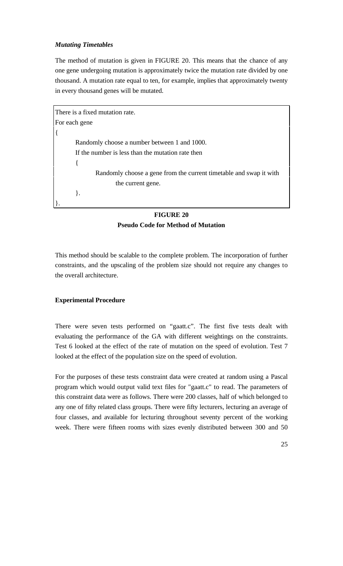#### *Mutating Timetables*

The method of mutation is given in FIGURE 20. This means that the chance of any one gene undergoing mutation is approximately twice the mutation rate divided by one thousand. A mutation rate equal to ten, for example, implies that approximately twenty in every thousand genes will be mutated.

```
There is a fixed mutation rate.
For each gene
{
       Randomly choose a number between 1 and 1000.
       If the number is less than the mutation rate then
       {
               Randomly choose a gene from the current timetable and swap it with 
                      the current gene.
       }.
}.
```
## **FIGURE 20 Pseudo Code for Method of Mutation**

This method should be scalable to the complete problem. The incorporation of further constraints, and the upscaling of the problem size should not require any changes to the overall architecture.

#### **Experimental Procedure**

There were seven tests performed on "gaatt.c". The first five tests dealt with evaluating the performance of the GA with different weightings on the constraints. Test 6 looked at the effect of the rate of mutation on the speed of evolution. Test 7 looked at the effect of the population size on the speed of evolution.

For the purposes of these tests constraint data were created at random using a Pascal program which would output valid text files for "gaatt.c" to read. The parameters of this constraint data were as follows. There were 200 classes, half of which belonged to any one of fifty related class groups. There were fifty lecturers, lecturing an average of four classes, and available for lecturing throughout seventy percent of the working week. There were fifteen rooms with sizes evenly distributed between 300 and 50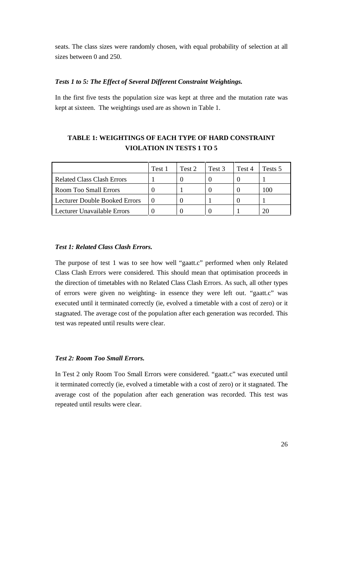seats. The class sizes were randomly chosen, with equal probability of selection at all sizes between 0 and 250.

### *Tests 1 to 5: The Effect of Several Different Constraint Weightings.*

In the first five tests the population size was kept at three and the mutation rate was kept at sixteen. The weightings used are as shown in Table 1.

### **TABLE 1: WEIGHTINGS OF EACH TYPE OF HARD CONSTRAINT VIOLATION IN TESTS 1 TO 5**

|                                      | Test 1 | Test 2 | Test 3 | Test 4 | Tests 5 |
|--------------------------------------|--------|--------|--------|--------|---------|
| <b>Related Class Clash Errors</b>    |        |        |        |        |         |
| Room Too Small Errors                |        |        |        |        |         |
| <b>Lecturer Double Booked Errors</b> |        |        |        |        |         |
| Lecturer Unavailable Errors          |        |        |        |        |         |

#### *Test 1: Related Class Clash Errors.*

The purpose of test 1 was to see how well "gaatt.c" performed when only Related Class Clash Errors were considered. This should mean that optimisation proceeds in the direction of timetables with no Related Class Clash Errors. As such, all other types of errors were given no weighting- in essence they were left out. "gaatt.c" was executed until it terminated correctly (ie, evolved a timetable with a cost of zero) or it stagnated. The average cost of the population after each generation was recorded. This test was repeated until results were clear.

#### *Test 2: Room Too Small Errors.*

In Test 2 only Room Too Small Errors were considered. "gaatt.c" was executed until it terminated correctly (ie, evolved a timetable with a cost of zero) or it stagnated. The average cost of the population after each generation was recorded. This test was repeated until results were clear.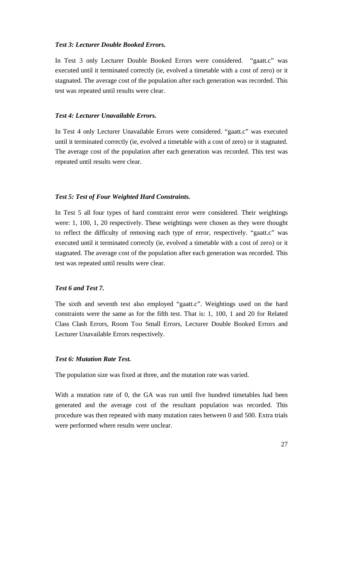#### *Test 3: Lecturer Double Booked Errors.*

In Test 3 only Lecturer Double Booked Errors were considered. "gaatt.c" was executed until it terminated correctly (ie, evolved a timetable with a cost of zero) or it stagnated. The average cost of the population after each generation was recorded. This test was repeated until results were clear.

#### *Test 4: Lecturer Unavailable Errors.*

In Test 4 only Lecturer Unavailable Errors were considered. "gaatt.c" was executed until it terminated correctly (ie, evolved a timetable with a cost of zero) or it stagnated. The average cost of the population after each generation was recorded. This test was repeated until results were clear.

#### *Test 5: Test of Four Weighted Hard Constraints.*

In Test 5 all four types of hard constraint error were considered. Their weightings were: 1, 100, 1, 20 respectively. These weightings were chosen as they were thought to reflect the difficulty of removing each type of error, respectively. "gaatt.c" was executed until it terminated correctly (ie, evolved a timetable with a cost of zero) or it stagnated. The average cost of the population after each generation was recorded. This test was repeated until results were clear.

# *Test 6 and Test 7.*

The sixth and seventh test also employed "gaatt.c". Weightings used on the hard constraints were the same as for the fifth test. That is: 1, 100, 1 and 20 for Related Class Clash Errors, Room Too Small Errors, Lecturer Double Booked Errors and Lecturer Unavailable Errors respectively.

#### *Test 6: Mutation Rate Test.*

The population size was fixed at three, and the mutation rate was varied.

With a mutation rate of 0, the GA was run until five hundred timetables had been generated and the average cost of the resultant population was recorded. This procedure was then repeated with many mutation rates between 0 and 500. Extra trials were performed where results were unclear.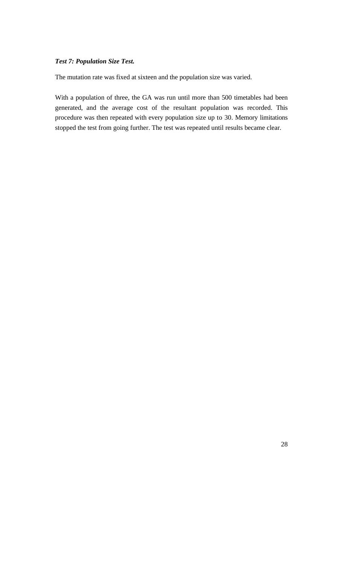# *Test 7: Population Size Test.*

The mutation rate was fixed at sixteen and the population size was varied.

With a population of three, the GA was run until more than 500 timetables had been generated, and the average cost of the resultant population was recorded. This procedure was then repeated with every population size up to 30. Memory limitations stopped the test from going further. The test was repeated until results became clear.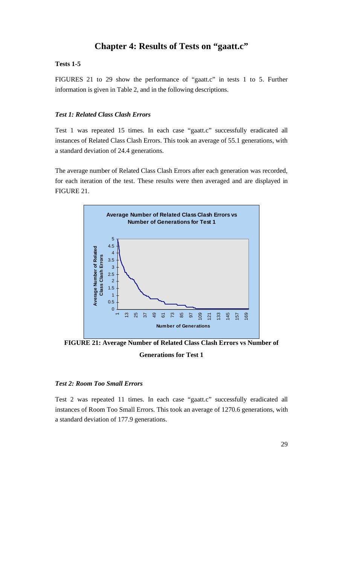# **Chapter 4: Results of Tests on "gaatt.c"**

# **Tests 1-5**

FIGURES 21 to 29 show the performance of "gaatt.c" in tests 1 to 5. Further information is given in Table 2, and in the following descriptions.

# *Test 1: Related Class Clash Errors*

Test 1 was repeated 15 times. In each case "gaatt.c" successfully eradicated all instances of Related Class Clash Errors. This took an average of 55.1 generations, with a standard deviation of 24.4 generations.

The average number of Related Class Clash Errors after each generation was recorded, for each iteration of the test. These results were then averaged and are displayed in FIGURE 21.



**FIGURE 21: Average Number of Related Class Clash Errors vs Number of Generations for Test 1**

# *Test 2: Room Too Small Errors*

Test 2 was repeated 11 times. In each case "gaatt.c" successfully eradicated all instances of Room Too Small Errors. This took an average of 1270.6 generations, with a standard deviation of 177.9 generations.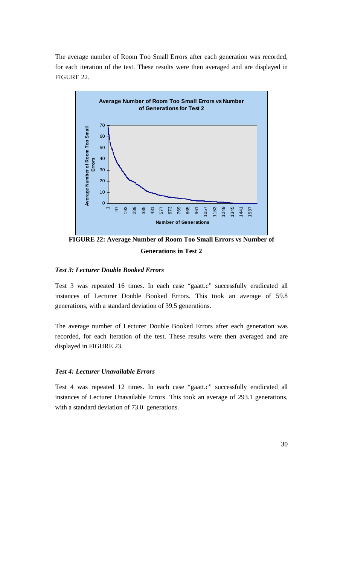The average number of Room Too Small Errors after each generation was recorded, for each iteration of the test. These results were then averaged and are displayed in FIGURE 22.



**FIGURE 22: Average Number of Room Too Small Errors vs Number of Generations in Test 2**

### *Test 3: Lecturer Double Booked Errors*

Test 3 was repeated 16 times. In each case "gaatt.c" successfully eradicated all instances of Lecturer Double Booked Errors. This took an average of 59.8 generations, with a standard deviation of 39.5 generations.

The average number of Lecturer Double Booked Errors after each generation was recorded, for each iteration of the test. These results were then averaged and are displayed in FIGURE 23.

#### *Test 4: Lecturer Unavailable Errors*

Test 4 was repeated 12 times. In each case "gaatt.c" successfully eradicated all instances of Lecturer Unavailable Errors. This took an average of 293.1 generations, with a standard deviation of 73.0 generations.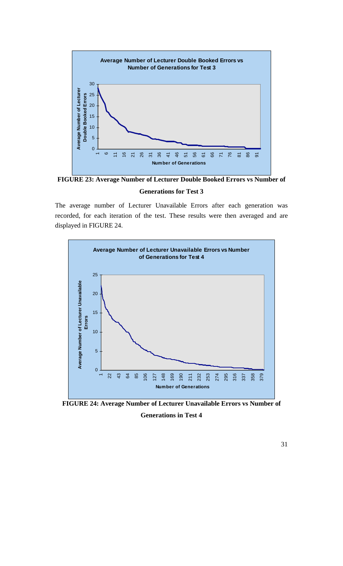

**FIGURE 23: Average Number of Lecturer Double Booked Errors vs Number of**

# **Generations for Test 3**

The average number of Lecturer Unavailable Errors after each generation was recorded, for each iteration of the test. These results were then averaged and are displayed in FIGURE 24.



**FIGURE 24: Average Number of Lecturer Unavailable Errors vs Number of Generations in Test 4**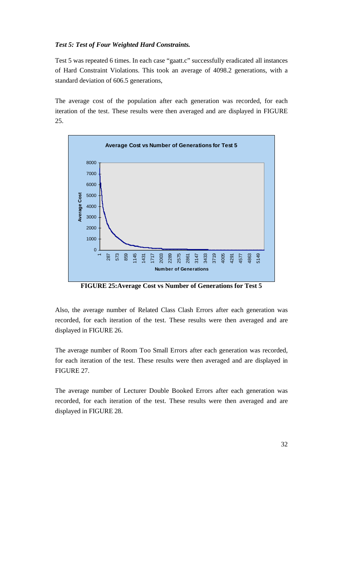#### *Test 5: Test of Four Weighted Hard Constraints.*

Test 5 was repeated 6 times. In each case "gaatt.c" successfully eradicated all instances of Hard Constraint Violations. This took an average of 4098.2 generations, with a standard deviation of 606.5 generations,

The average cost of the population after each generation was recorded, for each iteration of the test. These results were then averaged and are displayed in FIGURE 25.



**FIGURE 25:Average Cost vs Number of Generations for Test 5**

Also, the average number of Related Class Clash Errors after each generation was recorded, for each iteration of the test. These results were then averaged and are displayed in FIGURE 26.

The average number of Room Too Small Errors after each generation was recorded, for each iteration of the test. These results were then averaged and are displayed in FIGURE 27.

The average number of Lecturer Double Booked Errors after each generation was recorded, for each iteration of the test. These results were then averaged and are displayed in FIGURE 28.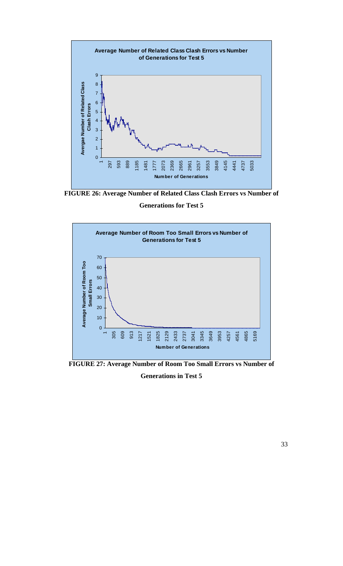

**FIGURE 26: Average Number of Related Class Clash Errors vs Number of**

# **Generations for Test 5**



**FIGURE 27: Average Number of Room Too Small Errors vs Number of**

### **Generations in Test 5**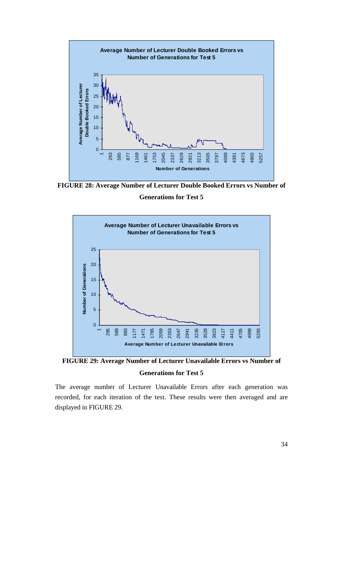

**FIGURE 28: Average Number of Lecturer Double Booked Errors vs Number of**

**Generations for Test 5**



**FIGURE 29: Average Number of Lecturer Unavailable Errors vs Number of Generations for Test 5**

The average number of Lecturer Unavailable Errors after each generation was recorded, for each iteration of the test. These results were then averaged and are displayed in FIGURE 29.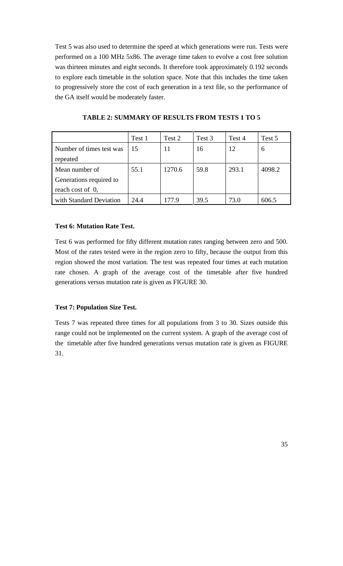Test 5 was also used to determine the speed at which generations were run. Tests were performed on a 100 MHz 5x86. The average time taken to evolve a cost free solution was thirteen minutes and eight seconds. It therefore took approximately 0.192 seconds to explore each timetable in the solution space. Note that this includes the time taken to progressively store the cost of each generation in a text file, so the performance of the GA itself would be moderately faster.

|                          | Test 1 | Test 2 | Test 3 | Test 4 | Test 5 |
|--------------------------|--------|--------|--------|--------|--------|
| Number of times test was | 15     | 11     | 16     | 12     | 6      |
| repeated                 |        |        |        |        |        |
| Mean number of           | 55.1   | 1270.6 | 59.8   | 293.1  | 4098.2 |
| Generations required to  |        |        |        |        |        |
| reach cost of 0,         |        |        |        |        |        |
| with Standard Deviation  | 24.4   | 177.9  | 39.5   | 73.0   | 606.5  |

**TABLE 2: SUMMARY OF RESULTS FROM TESTS 1 TO 5**

# **Test 6: Mutation Rate Test.**

Test 6 was performed for fifty different mutation rates ranging between zero and 500. Most of the rates tested were in the region zero to fifty, because the output from this region showed the most variation. The test was repeated four times at each mutation rate chosen. A graph of the average cost of the timetable after five hundred generations versus mutation rate is given as FIGURE 30.

### **Test 7: Population Size Test.**

Tests 7 was repeated three times for all populations from 3 to 30. Sizes outside this range could not be implemented on the current system. A graph of the average cost of the timetable after five hundred generations versus mutation rate is given as FIGURE 31.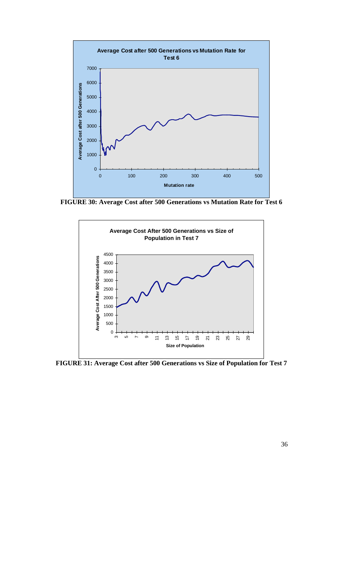

**FIGURE 30: Average Cost after 500 Generations vs Mutation Rate for Test 6**



**FIGURE 31: Average Cost after 500 Generations vs Size of Population for Test 7**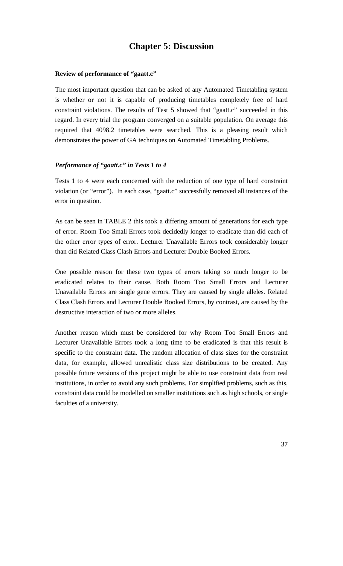# **Chapter 5: Discussion**

# **Review of performance of "gaatt.c"**

The most important question that can be asked of any Automated Timetabling system is whether or not it is capable of producing timetables completely free of hard constraint violations. The results of Test 5 showed that "gaatt.c" succeeded in this regard. In every trial the program converged on a suitable population. On average this required that 4098.2 timetables were searched. This is a pleasing result which demonstrates the power of GA techniques on Automated Timetabling Problems.

### *Performance of "gaatt.c" in Tests 1 to 4*

Tests 1 to 4 were each concerned with the reduction of one type of hard constraint violation (or "error"). In each case, "gaatt.c" successfully removed all instances of the error in question.

As can be seen in TABLE 2 this took a differing amount of generations for each type of error. Room Too Small Errors took decidedly longer to eradicate than did each of the other error types of error. Lecturer Unavailable Errors took considerably longer than did Related Class Clash Errors and Lecturer Double Booked Errors.

One possible reason for these two types of errors taking so much longer to be eradicated relates to their cause. Both Room Too Small Errors and Lecturer Unavailable Errors are single gene errors. They are caused by single alleles. Related Class Clash Errors and Lecturer Double Booked Errors, by contrast, are caused by the destructive interaction of two or more alleles.

Another reason which must be considered for why Room Too Small Errors and Lecturer Unavailable Errors took a long time to be eradicated is that this result is specific to the constraint data. The random allocation of class sizes for the constraint data, for example, allowed unrealistic class size distributions to be created. Any possible future versions of this project might be able to use constraint data from real institutions, in order to avoid any such problems. For simplified problems, such as this, constraint data could be modelled on smaller institutions such as high schools, or single faculties of a university.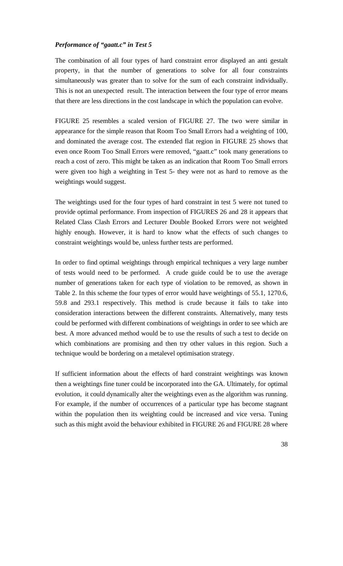# *Performance of "gaatt.c" in Test 5*

The combination of all four types of hard constraint error displayed an anti gestalt property, in that the number of generations to solve for all four constraints simultaneously was greater than to solve for the sum of each constraint individually. This is not an unexpected result. The interaction between the four type of error means that there are less directions in the cost landscape in which the population can evolve.

FIGURE 25 resembles a scaled version of FIGURE 27. The two were similar in appearance for the simple reason that Room Too Small Errors had a weighting of 100, and dominated the average cost. The extended flat region in FIGURE 25 shows that even once Room Too Small Errors were removed, "gaatt.c" took many generations to reach a cost of zero. This might be taken as an indication that Room Too Small errors were given too high a weighting in Test 5- they were not as hard to remove as the weightings would suggest.

The weightings used for the four types of hard constraint in test 5 were not tuned to provide optimal performance. From inspection of FIGURES 26 and 28 it appears that Related Class Clash Errors and Lecturer Double Booked Errors were not weighted highly enough. However, it is hard to know what the effects of such changes to constraint weightings would be, unless further tests are performed.

In order to find optimal weightings through empirical techniques a very large number of tests would need to be performed. A crude guide could be to use the average number of generations taken for each type of violation to be removed, as shown in Table 2. In this scheme the four types of error would have weightings of 55.1, 1270.6, 59.8 and 293.1 respectively. This method is crude because it fails to take into consideration interactions between the different constraints. Alternatively, many tests could be performed with different combinations of weightings in order to see which are best. A more advanced method would be to use the results of such a test to decide on which combinations are promising and then try other values in this region. Such a technique would be bordering on a metalevel optimisation strategy.

If sufficient information about the effects of hard constraint weightings was known then a weightings fine tuner could be incorporated into the GA. Ultimately, for optimal evolution, it could dynamically alter the weightings even as the algorithm was running. For example, if the number of occurrences of a particular type has become stagnant within the population then its weighting could be increased and vice versa. Tuning such as this might avoid the behaviour exhibited in FIGURE 26 and FIGURE 28 where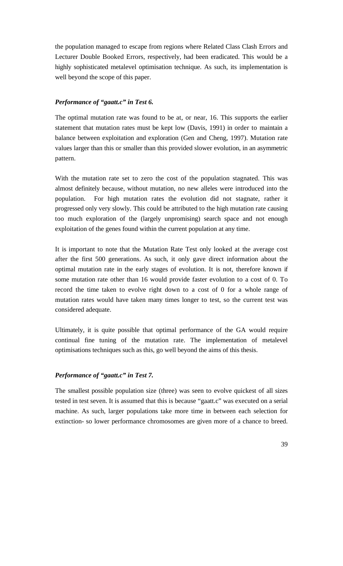the population managed to escape from regions where Related Class Clash Errors and Lecturer Double Booked Errors, respectively, had been eradicated. This would be a highly sophisticated metalevel optimisation technique. As such, its implementation is well beyond the scope of this paper.

### *Performance of "gaatt.c" in Test 6.*

The optimal mutation rate was found to be at, or near, 16. This supports the earlier statement that mutation rates must be kept low (Davis, 1991) in order to maintain a balance between exploitation and exploration (Gen and Cheng, 1997). Mutation rate values larger than this or smaller than this provided slower evolution, in an asymmetric pattern.

With the mutation rate set to zero the cost of the population stagnated. This was almost definitely because, without mutation, no new alleles were introduced into the population. For high mutation rates the evolution did not stagnate, rather it progressed only very slowly. This could be attributed to the high mutation rate causing too much exploration of the (largely unpromising) search space and not enough exploitation of the genes found within the current population at any time.

It is important to note that the Mutation Rate Test only looked at the average cost after the first 500 generations. As such, it only gave direct information about the optimal mutation rate in the early stages of evolution. It is not, therefore known if some mutation rate other than 16 would provide faster evolution to a cost of 0. To record the time taken to evolve right down to a cost of 0 for a whole range of mutation rates would have taken many times longer to test, so the current test was considered adequate.

Ultimately, it is quite possible that optimal performance of the GA would require continual fine tuning of the mutation rate. The implementation of metalevel optimisations techniques such as this, go well beyond the aims of this thesis.

# *Performance of "gaatt.c" in Test 7.*

The smallest possible population size (three) was seen to evolve quickest of all sizes tested in test seven. It is assumed that this is because "gaatt.c" was executed on a serial machine. As such, larger populations take more time in between each selection for extinction- so lower performance chromosomes are given more of a chance to breed.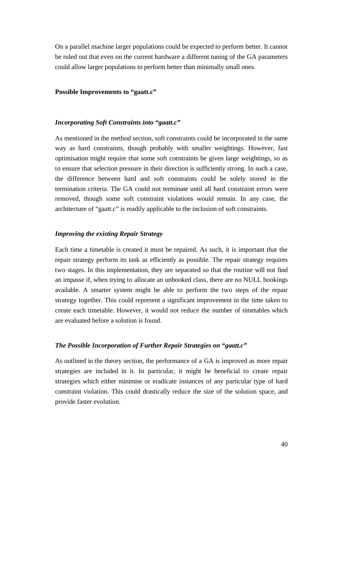On a parallel machine larger populations could be expected to perform better. It cannot be ruled out that even on the current hardware a different tuning of the GA parameters could allow larger populations to perform better than minimally small ones.

#### **Possible Improvements to "gaatt.c"**

#### *Incorporating Soft Constraints into "gaatt.c"*

As mentioned in the method section, soft constraints could be incorporated in the same way as hard constraints, though probably with smaller weightings. However, fast optimisation might require that some soft constraints be given large weightings, so as to ensure that selection pressure in their direction is sufficiently strong. In such a case, the difference between hard and soft constraints could be solely stored in the termination criteria. The GA could not terminate until all hard constraint errors were removed, though some soft constraint violations would remain. In any case, the architecture of "gaatt.c" is readily applicable to the inclusion of soft constraints.

# *Improving the existing Repair Strategy*

Each time a timetable is created it must be repaired. As such, it is important that the repair strategy perform its task as efficiently as possible. The repair strategy requires two stages. In this implementation, they are separated so that the routine will not find an impasse if, when trying to allocate an unbooked class, there are no NULL bookings available. A smarter system might be able to perform the two steps of the repair strategy together. This could represent a significant improvement in the time taken to create each timetable. However, it would not reduce the number of timetables which are evaluated before a solution is found.

#### *The Possible Incorporation of Further Repair Strategies on "gaatt.c"*

As outlined in the theory section, the performance of a GA is improved as more repair strategies are included in it. In particular, it might be beneficial to create repair strategies which either minimise or eradicate instances of any particular type of hard constraint violation. This could drastically reduce the size of the solution space, and provide faster evolution.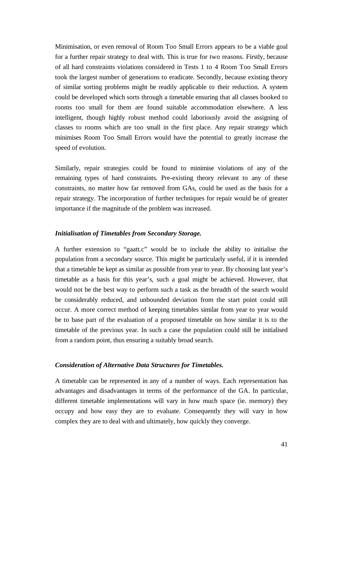Minimisation, or even removal of Room Too Small Errors appears to be a viable goal for a further repair strategy to deal with. This is true for two reasons. Firstly, because of all hard constraints violations considered in Tests 1 to 4 Room Too Small Errors took the largest number of generations to eradicate. Secondly, because existing theory of similar sorting problems might be readily applicable to their reduction. A system could be developed which sorts through a timetable ensuring that all classes booked to rooms too small for them are found suitable accommodation elsewhere. A less intelligent, though highly robust method could laboriously avoid the assigning of classes to rooms which are too small in the first place. Any repair strategy which minimises Room Too Small Errors would have the potential to greatly increase the speed of evolution.

Similarly, repair strategies could be found to minimise violations of any of the remaining types of hard constraints. Pre-existing theory relevant to any of these constraints, no matter how far removed from GAs, could be used as the basis for a repair strategy. The incorporation of further techniques for repair would be of greater importance if the magnitude of the problem was increased.

# *Initialisation of Timetables from Secondary Storage.*

A further extension to "gaatt.c" would be to include the ability to initialise the population from a secondary source. This might be particularly useful, if it is intended that a timetable be kept as similar as possible from year to year. By choosing last year's timetable as a basis for this year's, such a goal might be achieved. However, that would not be the best way to perform such a task as the breadth of the search would be considerably reduced, and unbounded deviation from the start point could still occur. A more correct method of keeping timetables similar from year to year would be to base part of the evaluation of a proposed timetable on how similar it is to the timetable of the previous year. In such a case the population could still be initialised from a random point, thus ensuring a suitably broad search.

#### *Consideration of Alternative Data Structures for Timetables.*

A timetable can be represented in any of a number of ways. Each representation has advantages and disadvantages in terms of the performance of the GA. In particular, different timetable implementations will vary in how much space (ie. memory) they occupy and how easy they are to evaluate. Consequently they will vary in how complex they are to deal with and ultimately, how quickly they converge.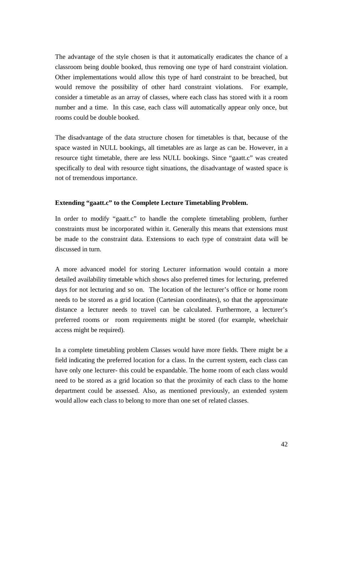The advantage of the style chosen is that it automatically eradicates the chance of a classroom being double booked, thus removing one type of hard constraint violation. Other implementations would allow this type of hard constraint to be breached, but would remove the possibility of other hard constraint violations. For example, consider a timetable as an array of classes, where each class has stored with it a room number and a time. In this case, each class will automatically appear only once, but rooms could be double booked.

The disadvantage of the data structure chosen for timetables is that, because of the space wasted in NULL bookings, all timetables are as large as can be. However, in a resource tight timetable, there are less NULL bookings. Since "gaatt.c" was created specifically to deal with resource tight situations, the disadvantage of wasted space is not of tremendous importance.

#### **Extending "gaatt.c" to the Complete Lecture Timetabling Problem.**

In order to modify "gaatt.c" to handle the complete timetabling problem, further constraints must be incorporated within it. Generally this means that extensions must be made to the constraint data. Extensions to each type of constraint data will be discussed in turn.

A more advanced model for storing Lecturer information would contain a more detailed availability timetable which shows also preferred times for lecturing, preferred days for not lecturing and so on. The location of the lecturer's office or home room needs to be stored as a grid location (Cartesian coordinates), so that the approximate distance a lecturer needs to travel can be calculated. Furthermore, a lecturer's preferred rooms or room requirements might be stored (for example, wheelchair access might be required).

In a complete timetabling problem Classes would have more fields. There might be a field indicating the preferred location for a class. In the current system, each class can have only one lecturer- this could be expandable. The home room of each class would need to be stored as a grid location so that the proximity of each class to the home department could be assessed. Also, as mentioned previously, an extended system would allow each class to belong to more than one set of related classes.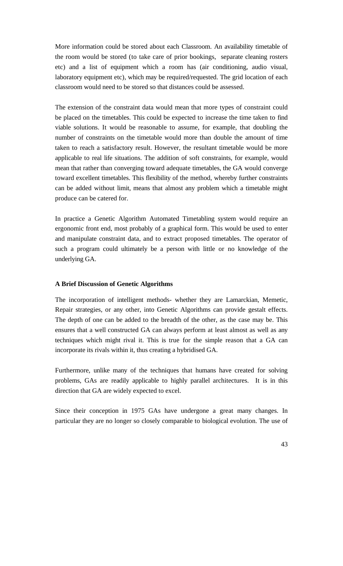More information could be stored about each Classroom. An availability timetable of the room would be stored (to take care of prior bookings, separate cleaning rosters etc) and a list of equipment which a room has (air conditioning, audio visual, laboratory equipment etc), which may be required/requested. The grid location of each classroom would need to be stored so that distances could be assessed.

The extension of the constraint data would mean that more types of constraint could be placed on the timetables. This could be expected to increase the time taken to find viable solutions. It would be reasonable to assume, for example, that doubling the number of constraints on the timetable would more than double the amount of time taken to reach a satisfactory result. However, the resultant timetable would be more applicable to real life situations. The addition of soft constraints, for example, would mean that rather than converging toward adequate timetables, the GA would converge toward excellent timetables. This flexibility of the method, whereby further constraints can be added without limit, means that almost any problem which a timetable might produce can be catered for.

In practice a Genetic Algorithm Automated Timetabling system would require an ergonomic front end, most probably of a graphical form. This would be used to enter and manipulate constraint data, and to extract proposed timetables. The operator of such a program could ultimately be a person with little or no knowledge of the underlying GA.

### **A Brief Discussion of Genetic Algorithms**

The incorporation of intelligent methods- whether they are Lamarckian, Memetic, Repair strategies, or any other, into Genetic Algorithms can provide gestalt effects. The depth of one can be added to the breadth of the other, as the case may be. This ensures that a well constructed GA can always perform at least almost as well as any techniques which might rival it. This is true for the simple reason that a GA can incorporate its rivals within it, thus creating a hybridised GA.

Furthermore, unlike many of the techniques that humans have created for solving problems, GAs are readily applicable to highly parallel architectures. It is in this direction that GA are widely expected to excel.

Since their conception in 1975 GAs have undergone a great many changes. In particular they are no longer so closely comparable to biological evolution. The use of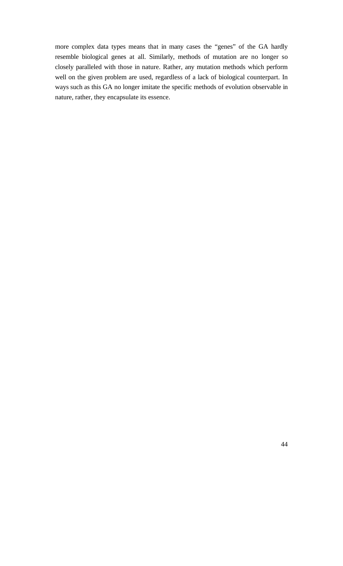more complex data types means that in many cases the "genes" of the GA hardly resemble biological genes at all. Similarly, methods of mutation are no longer so closely paralleled with those in nature. Rather, any mutation methods which perform well on the given problem are used, regardless of a lack of biological counterpart. In ways such as this GA no longer imitate the specific methods of evolution observable in nature, rather, they encapsulate its essence.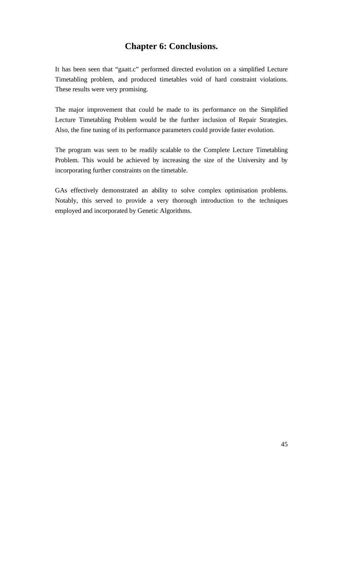# **Chapter 6: Conclusions.**

It has been seen that "gaatt.c" performed directed evolution on a simplified Lecture Timetabling problem, and produced timetables void of hard constraint violations. These results were very promising.

The major improvement that could be made to its performance on the Simplified Lecture Timetabling Problem would be the further inclusion of Repair Strategies. Also, the fine tuning of its performance parameters could provide faster evolution.

The program was seen to be readily scalable to the Complete Lecture Timetabling Problem. This would be achieved by increasing the size of the University and by incorporating further constraints on the timetable.

GAs effectively demonstrated an ability to solve complex optimisation problems. Notably, this served to provide a very thorough introduction to the techniques employed and incorporated by Genetic Algorithms.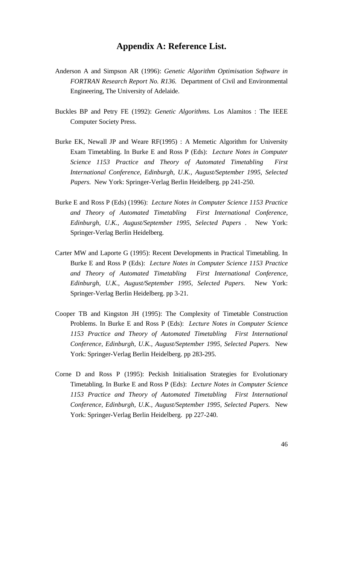# **Appendix A: Reference List.**

- Anderson A and Simpson AR (1996): *Genetic Algorithm Optimisation Software in FORTRAN Research Report No. R136.* Department of Civil and Environmental Engineering, The University of Adelaide.
- Buckles BP and Petry FE (1992): *Genetic Algorithms.* Los Alamitos : The IEEE Computer Society Press.
- Burke EK, Newall JP and Weare RF(1995) : A Memetic Algorithm for University Exam Timetabling. In Burke E and Ross P (Eds): *Lecture Notes in Computer Science 1153 Practice and Theory of Automated Timetabling First International Conference, Edinburgh, U.K., August/September 1995, Selected Papers.* New York: Springer-Verlag Berlin Heidelberg. pp 241-250.
- Burke E and Ross P (Eds) (1996): *Lecture Notes in Computer Science 1153 Practice and Theory of Automated Timetabling First International Conference, Edinburgh, U.K., August/September 1995, Selected Papers .* New York: Springer-Verlag Berlin Heidelberg*.*
- Carter MW and Laporte G (1995): Recent Developments in Practical Timetabling. In Burke E and Ross P (Eds): *Lecture Notes in Computer Science 1153 Practice and Theory of Automated Timetabling First International Conference, Edinburgh, U.K., August/September 1995, Selected Papers.* New York: Springer-Verlag Berlin Heidelberg. pp 3-21.
- Cooper TB and Kingston JH (1995): The Complexity of Timetable Construction Problems. In Burke E and Ross P (Eds): *Lecture Notes in Computer Science 1153 Practice and Theory of Automated Timetabling First International Conference, Edinburgh, U.K., August/September 1995, Selected Papers.* New York: Springer-Verlag Berlin Heidelberg. pp 283-295.
- Corne D and Ross P (1995): Peckish Initialisation Strategies for Evolutionary Timetabling. In Burke E and Ross P (Eds): *Lecture Notes in Computer Science 1153 Practice and Theory of Automated Timetabling First International Conference, Edinburgh, U.K., August/September 1995, Selected Papers.* New York: Springer-Verlag Berlin Heidelberg. pp 227-240.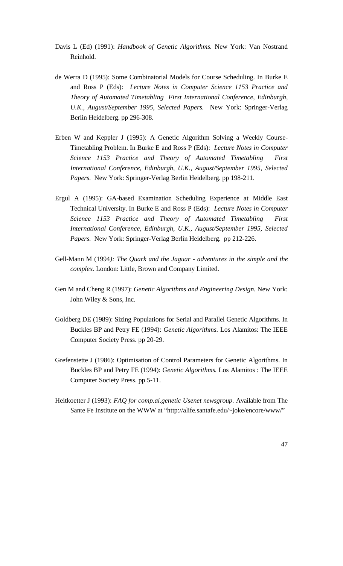- Davis L (Ed) (1991): *Handbook of Genetic Algorithms.* New York: Van Nostrand Reinhold.
- de Werra D (1995): Some Combinatorial Models for Course Scheduling. In Burke E and Ross P (Eds): *Lecture Notes in Computer Science 1153 Practice and Theory of Automated Timetabling First International Conference, Edinburgh, U.K., August/September 1995, Selected Papers.* New York: Springer-Verlag Berlin Heidelberg. pp 296-308.
- Erben W and Keppler J (1995): A Genetic Algorithm Solving a Weekly Course-Timetabling Problem. In Burke E and Ross P (Eds): *Lecture Notes in Computer Science 1153 Practice and Theory of Automated Timetabling First International Conference, Edinburgh, U.K., August/September 1995, Selected Papers.* New York: Springer-Verlag Berlin Heidelberg. pp 198-211.
- Ergul A (1995): GA-based Examination Scheduling Experience at Middle East Technical University. In Burke E and Ross P (Eds): *Lecture Notes in Computer Science 1153 Practice and Theory of Automated Timetabling First International Conference, Edinburgh, U.K., August/September 1995, Selected Papers.* New York: Springer-Verlag Berlin Heidelberg. pp 212-226.
- Gell-Mann M (1994*): The Quark and the Jaguar adventures in the simple and the complex.* London: Little, Brown and Company Limited.
- Gen M and Cheng R (1997): *Genetic Algorithms and Engineering Design.* New York: John Wiley & Sons, Inc.
- Goldberg DE (1989): Sizing Populations for Serial and Parallel Genetic Algorithms. In Buckles BP and Petry FE (1994): *Genetic Algorithms.* Los Alamitos: The IEEE Computer Society Press. pp 20-29.
- Grefenstette J (1986): Optimisation of Control Parameters for Genetic Algorithms. In Buckles BP and Petry FE (1994): *Genetic Algorithms.* Los Alamitos : The IEEE Computer Society Press. pp 5-11.
- Heitkoetter J (1993): *FAQ for comp.ai.genetic Usenet newsgroup*. Available from The Sante Fe Institute on the WWW at "http://alife.santafe.edu/~joke/encore/www/"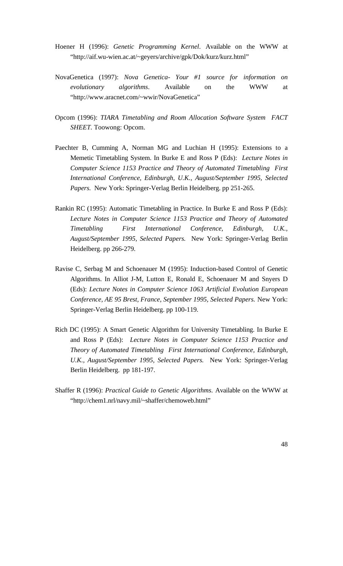- Hoener H (1996): *Genetic Programming Kernel*. Available on the WWW at "http://aif.wu-wien.ac.at/~geyers/archive/gpk/Dok/kurz/kurz.html"
- NovaGenetica (1997): *Nova Genetica- Your #1 source for information on evolutionary algorithms*. Available on the WWW at "http://www.aracnet.com/~wwir/NovaGenetica"
- Opcom (1996): *TIARA Timetabling and Room Allocation Software System FACT SHEET.* Toowong: Opcom.
- Paechter B, Cumming A, Norman MG and Luchian H (1995): Extensions to a Memetic Timetabling System. In Burke E and Ross P (Eds): *Lecture Notes in Computer Science 1153 Practice and Theory of Automated Timetabling First International Conference, Edinburgh, U.K., August/September 1995, Selected Papers.* New York: Springer-Verlag Berlin Heidelberg. pp 251-265.
- Rankin RC (1995): Automatic Timetabling in Practice. In Burke E and Ross P (Eds): *Lecture Notes in Computer Science 1153 Practice and Theory of Automated Timetabling First International Conference, Edinburgh, U.K., August/September 1995, Selected Papers.* New York: Springer-Verlag Berlin Heidelberg. pp 266-279.
- Ravise C, Serbag M and Schoenauer M (1995): Induction-based Control of Genetic Algorithms. In Alliot J-M, Lutton E, Ronald E, Schoenauer M and Snyers D (Eds): *Lecture Notes in Computer Science 1063 Artificial Evolution European Conference, AE 95 Brest, France, September 1995, Selected Papers.* New York: Springer-Verlag Berlin Heidelberg. pp 100-119.
- Rich DC (1995): A Smart Genetic Algorithm for University Timetabling. In Burke E and Ross P (Eds): *Lecture Notes in Computer Science 1153 Practice and Theory of Automated Timetabling First International Conference, Edinburgh, U.K., August/September 1995, Selected Papers.* New York: Springer-Verlag Berlin Heidelberg. pp 181-197.
- Shaffer R (1996): *Practical Guide to Genetic Algorithms*. Available on the WWW at "http://chem1.nrl/navy.mil/~shaffer/chemoweb.html"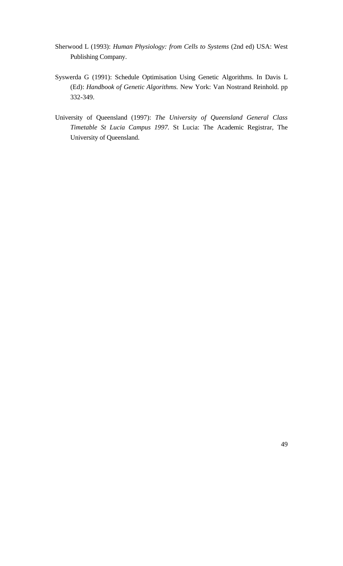- Sherwood L (1993): *Human Physiology: from Cells to Systems* (2nd ed) USA: West Publishing Company.
- Syswerda G (1991): Schedule Optimisation Using Genetic Algorithms. In Davis L (Ed): *Handbook of Genetic Algorithms.* New York: Van Nostrand Reinhold. pp 332-349.
- University of Queensland (1997): *The University of Queensland General Class Timetable St Lucia Campus 1997.* St Lucia: The Academic Registrar, The University of Queensland.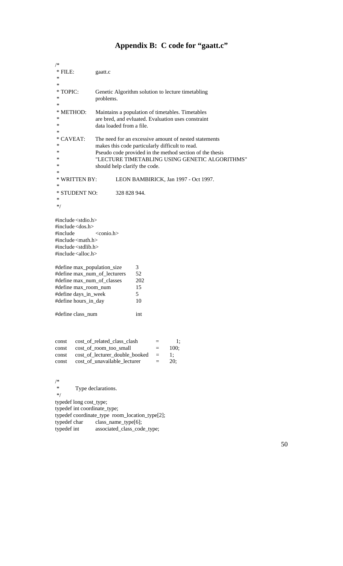# **Appendix B: C code for "gaatt.c"**

| /*                                                                                                                                                                                                                                                        |                                                                                                                                                                                                                                                         |  |  |  |  |
|-----------------------------------------------------------------------------------------------------------------------------------------------------------------------------------------------------------------------------------------------------------|---------------------------------------------------------------------------------------------------------------------------------------------------------------------------------------------------------------------------------------------------------|--|--|--|--|
| $*$ FILE:                                                                                                                                                                                                                                                 | gaatt.c                                                                                                                                                                                                                                                 |  |  |  |  |
| ∗<br>∗                                                                                                                                                                                                                                                    |                                                                                                                                                                                                                                                         |  |  |  |  |
| TOPIC:<br>∗<br>∗<br>∗                                                                                                                                                                                                                                     | Genetic Algorithm solution to lecture timetabling<br>problems.                                                                                                                                                                                          |  |  |  |  |
| * METHOD:<br>∗<br>∗<br>∗                                                                                                                                                                                                                                  | Maintains a population of timetables. Timetables<br>are bred, and evluated. Evaluation uses constraint<br>data loaded from a file.                                                                                                                      |  |  |  |  |
| <b>CAVEAT:</b><br>∗<br>∗<br>∗<br>∗<br>∗<br>∗                                                                                                                                                                                                              | The need for an excessive amount of nested statements<br>makes this code particularly difficult to read.<br>Pseudo code provided in the method section of the thesis<br>"LECTURE TIMETABLING USING GENETIC ALGORITHMS"<br>should help clarify the code. |  |  |  |  |
| <b>WRITTEN BY:</b><br>∗                                                                                                                                                                                                                                   | LEON BAMBIRICK, Jan 1997 - Oct 1997.                                                                                                                                                                                                                    |  |  |  |  |
| ∗<br>* STUDENT NO:<br>∗<br>$*$ /                                                                                                                                                                                                                          | 328 828 944.                                                                                                                                                                                                                                            |  |  |  |  |
| #include $\lt$ stdio.h $>$<br>#include <dos.h><br/>#include<br/>#include <math>\langle \text{math.h}\rangle</math><br/><math>\#</math>include <math>\lt</math>stdlib.h<math>&gt;</math><br/>#include <math>\langle</math>alloc.h<math>&gt;</math></dos.h> | <conio.h></conio.h>                                                                                                                                                                                                                                     |  |  |  |  |
| #define max_population_size<br>#define max_num_of_lecturers<br>#define max_num_of_classes<br>#define max_room_num<br>#define days_in_week<br>#define hours_in_day                                                                                         | 3<br>52<br>202<br>15<br>5<br>10                                                                                                                                                                                                                         |  |  |  |  |
| #define class_num                                                                                                                                                                                                                                         | int                                                                                                                                                                                                                                                     |  |  |  |  |
| const<br>const<br>const<br>const                                                                                                                                                                                                                          | cost_of_related_class_clash<br>1;<br>$=$<br>cost_of_room_too_small<br>100;<br>$=$<br>cost_of_lecturer_double_booked<br>1;<br>$=$<br>cost_of_unavailable_lecturer<br>20;<br>$=$                                                                          |  |  |  |  |
| /*<br>∗<br>$*$ /<br>typedef long cost_type;<br>typedef int coordinate_type;<br>typedef char<br>typedef int                                                                                                                                                | Type declarations.<br>typedef coordinate_type room_location_type[2];<br>class_name_type[6];<br>associated_class_code_type;                                                                                                                              |  |  |  |  |

50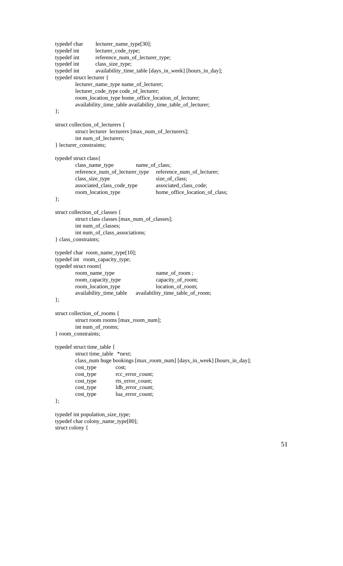```
typedef char lecturer_name_type[30];
typedef int lecturer_code_type;
typedef int reference_num_of_lecturer_type;
typedef int class_size_type;
typedef int availability_time_table [days_in_week] [hours_in_day];
typedef struct lecturer {
       lecturer_name_type name_of_lecturer;
        lecturer_code_type code_of_lecturer;
        room_location_type home_office_location_of_lecturer;
       availability_time_table availability_time_table_of_lecturer;
};
struct collection_of_lecturers {
        struct lecturer lecturers [max_num_of_lecturers];
       int num_of_lecturers;
} lecturer_constraints;
typedef struct class{
       class_name_type name_of_class;
       reference_num_of_lecturer_type reference_num_of_lecturer;
        class_size_type size_of_class;<br>associated_class_code_type associated_class_code;
        associated_class_code_type
        room_location_type home_office_location_of_class;
};
struct collection_of_classes {
       struct class classes [max_num_of_classes];
       int num_of_classes;
       int num_of_class_associations;
} class_constraints;
typedef char room_name_type[10];
typedef int room_capacity_type;
typedef struct room{
       room_name_type name_of_room ;
       room_capacity_type capacity_of_room;
       room_location_type location_of_room;
       availability_time_table availability_time_table_of_room;
};
struct collection_of_rooms {
        struct room rooms [max_room_num];
       int num_of_rooms;
} room_constraints;
typedef struct time_table {
        struct time_table *next;
       class_num huge bookings [max_room_num] [days_in_week] [hours_in_day];
       cost_type cost;
       cost_type rcc_error_count;
       cost_type rts_error_count;
       cost_type ldb_error_count;
       cost_type lua_error_count;
};
typedef int population_size_type;
typedef char colony_name_type[80];
```

```
struct colony {
```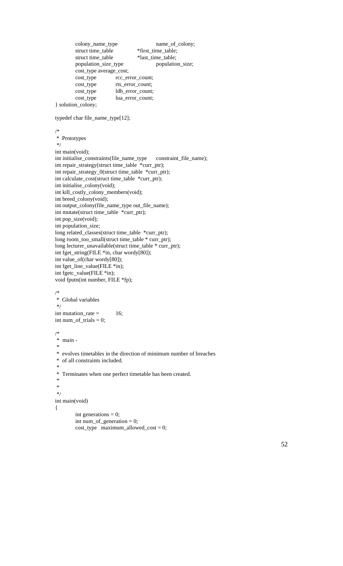```
colony_name_type name_of_colony;
        struct time_table *first_time_table;
        struct time_table *last_time_table;<br>population_size_type population_size;
        population_size_type
        cost_type average_cost;
        cost_type rcc_error_count;
        cost_type rts_error_count;
        cost_type ldb_error_count;
        cost_type lua_error_count;
} solution_colony;
typedef char file_name_type[12];
/*
 * Prototypes
 */
int main(void);
int initialise_constraints(file_name_type constraint_file_name);
int repair_strategy(struct time_table *curr_ptr);
int repair_strategy_0(struct time_table *curr_ptr);
int calculate_cost(struct time_table *curr_ptr);
int initialise_colony(void);
int kill_costly_colony_members(void);
int breed_colony(void);
int output_colony(file_name_type out_file_name);
int mutate(struct time_table *curr_ptr);
int pop_size(void);
int population_size;
long related_classes(struct time_table *curr_ptr);
long room_too_small(struct time_table * curr_ptr);
long lecturer_unavailable(struct time_table * curr_ptr);
int fget_string(FILE *in, char wordy[80]);
int value_of(char wordy[80]);
int fget_line_value(FILE *in);
int fgetc_value(FILE *in);
void fputn(int number, FILE *fp);
/*
 * Global variables
 */
int mutation_rate = 16;
int num_of_trials = 0;
/*
 * main -
 *
 * evolves timetables in the direction of minimum number of breaches
 * of all constraints included.
 *
 * Terminates when one perfect timetable has been created.
 *
 *
 */
int main(void)
\{int generations = 0;
        int num_of_generation = 0;
        cost_type maximum_allowed_cost = 0;
```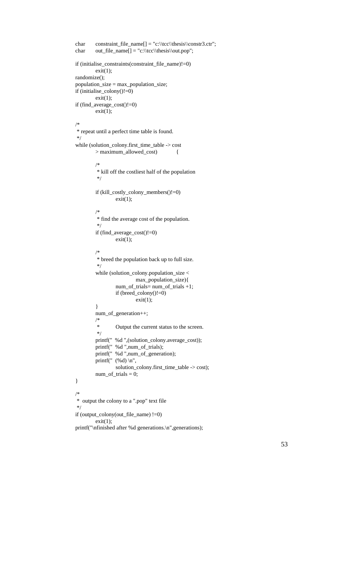```
char constraint_file_name[] = "c:\\tcc\\thesis\\constr3.ctr";
char out_file_name[] = "c:\\tcc\\thesis\\out.pop";
if (initialise_constraints(constraint_file_name)!=0)
         exit(1);randomize();
population_size = max_population_size;
if (initialise_colony()!=0)
        exit(1);if (find_average_cost()!=0)
        exit(1);/*
 * repeat until a perfect time table is found.
 */
while (solution_colony.first_time_table -> cost
        > maximum_allowed_cost) {
         /*
          * kill off the costliest half of the population
          */
         if (kill_costly_colony_members()!=0)
                  exit(1);/*
          * find the average cost of the population.
          */
         if (find_average_cost()!=0)
                 exit(1);/*
          * breed the population back up to full size.
          */
         while (solution_colony.population_size <
                          max_population_size){
                  num_of_trials= num_of_trials +1;
                  if (breed_colony()!=0)
                          exit(1);}
         num_of_generation++;
         /*
                  Output the current status to the screen.
          */
         printf(" %d ",(solution_colony.average_cost));
         printf(" %d ",num_of_trials);
         printf(" %d ",num_of_generation);
         printf(" (\% d) \n",
                  solution_colony.first_time_table -> cost);
         num_of_trials = 0;
}
/*
 * output the colony to a ".pop" text file
 */
if (output_colony(out_file_name) !=0)
         exit(1);printf("\nfinished after %d generations.\n",generations);
```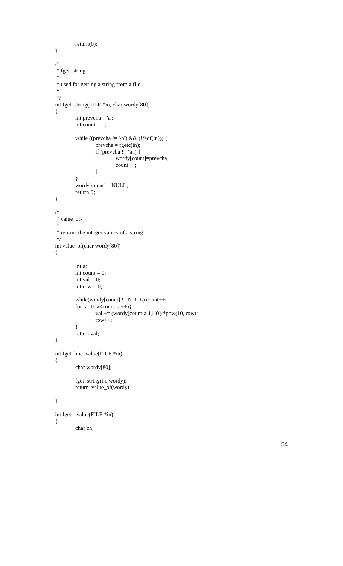```
return(0);
}
/*
 * fget_string-
 *
 * used for getting a string from a file
 *
 */
int fget_string(FILE *in, char wordy[80])
{
        int prevcha = 'a';
        int count = 0;
         while ((prevcha != '\n') && (!feof(in))) {
                 prevcha = fgetc(in);if (prevcha != '\n') {
                          wordy[count]=prevcha;
                          count++;
                  }
         }
        wordy[count] = NULL;
        return 0;
}
/*
 * value_of-
 *
 * returns the integer values of a string.
 */
int value_of(char wordy[80])
{
        int a;
        int count = 0;
        int val = 0;
        int row = 0;
        while(wordy[count] != NULL) count++;
        for (a=0; a<count; a++){
                 val += (wordy[count-a-1]-'0') *pow(10, row);
                 row++;
         }
        return val;
}
int fget_line_value(FILE *in)
{
        char wordy[80];
         fget_string(in, wordy);
        return value_of(wordy);
}
```

```
int fgetc_value(FILE *in)
{
        char ch;
```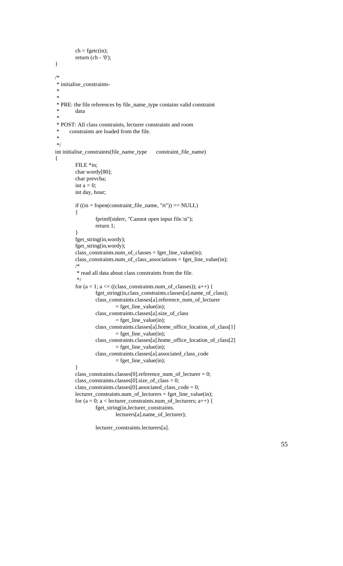```
ch = fgetc(in);return (ch - '0');
}
/*
 * initialise_constraints-
 *
 *
 * PRE: the file references by file_name_type contains valid constraint
 * data
 *
 * POST: All class constraints, lecturer constraints and room
      constraints are loaded from the file.
 *
 */
int initialise_constraints(file_name_type constraint_file_name)
{
         FILE *in;
        char wordy[80];
         char prevcha;
        int a = 0;
         int day, hour;
        if ((in = fopen(constraint_file_name, "rt")) == NULL)
         {
                  fprintf(stderr, "Cannot open input file.\n");
                  return 1;
         }
         fget_string(in,wordy);
         fget_string(in,wordy);
         class_constraints.num_of_classes = fget_line_value(in);
        class_constraints.num_of_class_associations = fget_line_value(in);
        /*
          * read all data about class constraints from the file.
          */
         for (a = 1; a \leq ((class\_constraints.num_of_classes)); a++) {
                  fget_string(in,class_constraints.classes[a].name_of_class);
                  class_constraints.classes[a].reference_num_of_lecturer
                           = fget_line_value(in);
                  class_constraints.classes[a].size_of_class
                           = fget_line_value(in);
                  class_constraints.classes[a].home_office_location_of_class[1]
                          = fget_line_value(in);
                  class_constraints.classes[a].home_office_location_of_class[2]
                          = fget_line_value(in);
                  class_constraints.classes[a].associated_class_code
                          = fget_line_value(in);
         }
         class_constraints.classes[0].reference_num_of_lecturer = 0;
         class_constraints.classes[0].size_of_class = 0;
        class_constraints.classes[0].associated_class_code = 0;
         lecturer_constraints.num_of_lecturers = fget_line_value(in);
         for (a = 0; a < lecturer_constraints.num_of_lecturers; a++) {
                  fget_string(in,lecturer_constraints.
                          lecturers[a].name_of_lecturer);
```
lecturer\_constraints.lecturers[a].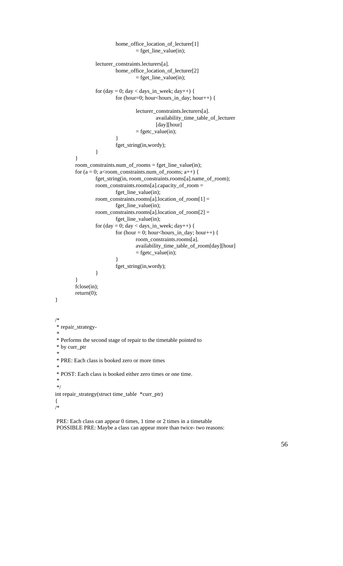```
home_office_location_of_lecturer[1]
                                      = fget_line_value(in);
                   lecturer_constraints.lecturers[a].
                            home_office_location_of_lecturer[2]
                                      = fget_line_value(in);
                   for (\text{day} = 0; \text{day} < \text{days} \cdot \text{in} \cdot \text{week}; \text{day++}) {
                            for (hour=0; hour<hours_in_day; hour++) {
                                      lecturer_constraints.lecturers[a].
                                                availability_time_table_of_lecturer
                                                [day][hour]
                                      = fgetc_value(in);
                             }
                            fget_string(in,wordy);
                   }
         }
         room_constraints.num_of_rooms = fget_line_value(in);
         for (a = 0; a <room_constraints.num_of_rooms; a++) {
                   fget_string(in, room_constraints.rooms[a].name_of_room);
                   room_constraints.rooms[a].capacity_of_room =
                            fget_line_value(in);
                   room_constraints.rooms[a].location_of_room[1] =
                            fget_line_value(in);
                   room_constraints.rooms[a].location_of_room[2] =
                            fget_line_value(in);
                   for (\text{day} = 0; \text{day} < \text{days} \cdot \text{in} \cdot \text{week}; \text{day++}) {
                            for (hour = 0; hour<hours_in_day; hour++) {
                                      room_constraints.rooms[a].
                                      availability_time_table_of_room[day][hour]
                                      = fgetc_value(in);
                             }
                            fget_string(in,wordy);
                   }
          }
         fclose(in);
         return(0);
}
/*
  * repair_strategy-
 *
 * Performs the second stage of repair to the timetable pointed to
 * by curr_ptr
 *
 * PRE: Each class is booked zero or more times
 *
 * POST: Each class is booked either zero times or one time.
 *
 */
int repair_strategy(struct time_table *curr_ptr)
{
/*
```
 PRE: Each class can appear 0 times, 1 time or 2 times in a timetable POSSIBLE PRE: Maybe a class can appear more than twice- two reasons: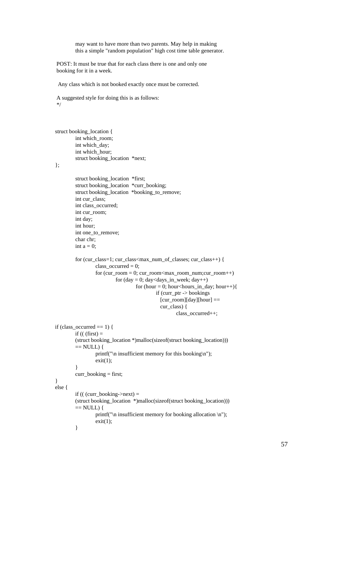may want to have more than two parents. May help in making this a simple "random population" high cost time table generator.

 POST: It must be true that for each class there is one and only one booking for it in a week.

Any class which is not booked exactly once must be corrected.

 A suggested style for doing this is as follows: \*/

```
struct booking_location {
        int which_room;
        int which_day;
        int which_hour;
        struct booking_location *next;
```
};

}

```
struct booking_location *first;
         struct booking_location *curr_booking;
         struct booking_location *booking_to_remove;
         int cur_class;
         int class_occurred;
         int cur_room;
         int day;
         int hour;
         int one_to_remove;
         char chr;
         int a = 0;
         for (cur_class=1; cur_class<max_num_of_classes; cur_class++) {
                  class_occurred = 0;
                  for (cur\_room = 0; cur\_room<max\_room\_num;cur\_room++)for (\text{day} = 0; \text{day}<\text{days} \cdot \text{in} \cdot \text{week}; \text{day++})for (hour = 0; hour<hours_in_day; hour++){
                                             if (curr_ptr -> bookings
                                                [cur_room][day][hour] ==
                                                 cur_class) {
                                                      class_occurred++;
if (class_occurred == 1) {
         if (( (first) =
         (struct booking_location *)malloc(sizeof(struct booking_location)))
         == NULL) {
                  printf("\n insufficient memory for this booking\n");
                  exit(1);}
         curr_booking = first;
else {
         if (( (curr_booking->next) =
         (struct booking_location *)malloc(sizeof(struct booking_location)))
         == NULL) {
                  printf("\n insufficient memory for booking allocation \n");
                  exit(1);}
```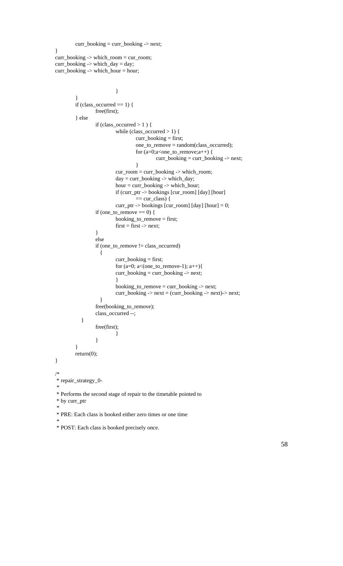```
curr_booking = curr_booking -> next;
}
curr_booking -> which_room = cur_room;
curr_booking -> which_day = day;
curr\_booking \rightarrow which\_hour = hour;}
         }
        if (class_occurred == 1) {
                  free(first);
         } else
                  if (class_occurred > 1 ) {
                           while (class_occurred > 1) {
                                    curr_booking = first;
                                    one_to_remove = random(class_occurred);
                                    for (a=0; a<sub>one_to_remove; a++) {
                                             curr_booking = curr_booking -> next;
                                    }
                           cur_room = curr_booking -> which_room;
                           day = curr\_booking \rightarrow which_day;hour = curr_booking -> which_hour;
                           if (curr_ptr -> bookings [cur_room] [day] [hour]
                                    == cur_class) {
                           curr_ptr -> bookings [cur_room] [day] [hour] = 0;
                  if (one_to_remove == 0) {
                           booking_to_remove = first;
                           first = first \rightarrow next;}
                  else
                  if (one_to_remove != class_occurred)
                     {
                           curr_booking = first;
                           for (a=0; a<sub>0</sub>(one_to_remove-1); a++)curr_booking = curr_booking -> next;
                           }
                           booking_to_remove = curr_booking -> next;
                           curr_booking -> next = (curr_booking -> next)-> next;
                     }
                  free(booking_to_remove);
                  class_occurred --;
            }
                  free(first);
                           }
                  }
         }
        return(0);
}
/*
 * repair_strategy_0-
 *
 * Performs the second stage of repair to the timetable pointed to
 * by curr_ptr
 *
 * PRE: Each class is booked either zero times or one time
 *
```

```
 * POST: Each class is booked precisely once.
```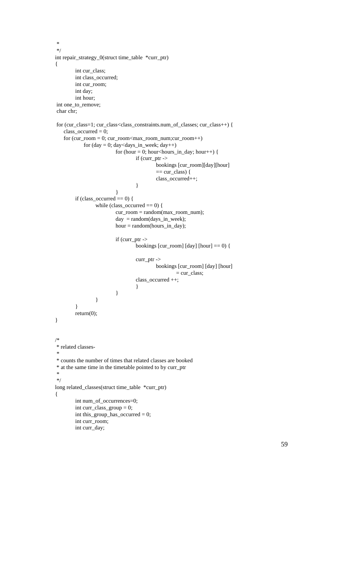```
 *
 */
int repair_strategy_0(struct time_table *curr_ptr)
{
        int cur_class;
        int class_occurred;
        int cur_room;
        int day;
        int hour;
 int one_to_remove;
 char chr;
 for (cur_class=1; cur_class<class_constraints.num_of_classes; cur_class++) {
    class_occurred = 0;
   for (cur\_room = 0; cur\_room<max\_room\_num;cur\_room++)for (\text{day} = 0; \text{day}<\text{days} \text{in} \text{—week}; \text{day++})for (hour = 0; hour<hours_in_day; hour++) {
                                   if (curr_ptr ->
                                            bookings [cur_room][day][hour]
                                            == cur_class) {
                                            class_occurred++;
                                    }
                          }
        if (class_occurred == 0) {
                 while (class_occurred == 0) {
                          cur_room = random(max_room_num);
                          day = random(days_in_week);
                          hour = random(hours_in_day);
                          if (curr_ptr ->
                                   bookings [cur_room] [day] [hour] == 0) {
                                   curr_ptr ->
                                            bookings [cur_room] [day] [hour]
                                                     = cur_class;
                                   class_occurred ++;
                                    }
          }
                  }
         }
        return(0);
}
/*
 * related classes-
 *
 * counts the number of times that related classes are booked
 * at the same time in the timetable pointed to by curr_ptr
 *
 */
long related_classes(struct time_table *curr_ptr)
{
        int num_of_occurrences=0;
        int curr_class_group = 0;
        int this_group_has_occurred = 0;
        int curr_room;
        int curr_day;
```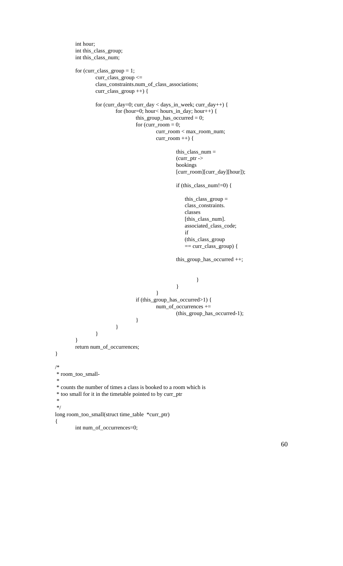```
int hour;
        int this_class_group;
        int this_class_num;
        for (curr_class_group = 1;
                 curr_class_group <=
                 class_constraints.num_of_class_associations;
                 curr_class_group ++) {
                 for (curr_day=0; curr_day < days_in_week; curr_day++) {
                          for (hour=0; hour< hours_in_day; hour++) {
                                  this_group_has_occurred = 0;
                                   for \text{(curr\_room = 0)};
                                           curr_room < max_room_num;
                                           curr_room ++) {
                                                    this_class_num =(curr_ptr ->
                                                    bookings
                                                    [curr_room][curr_day][hour]);
                                                    if (this_class_num!=0) {
                                                         this_class_group =
                                                         class_constraints.
                                                         classes
                                                        [this_class_num].
                                                         associated_class_code;
                                                         if
                                                         (this_class_group
                                                         == curr_class_group) {
                                                    this_group_has_occurred ++;
                                                             }
                                                    }
                                           }
                                  if (this_group_has_occurred>1) {
                                           num_of_occurrences +=
                                                    (this_group_has_occurred-1);
                                   }
                          }
                 }
        }
        return num_of_occurrences;
}
/*
 * room_too_small-
 *
 * counts the number of times a class is booked to a room which is
 * too small for it in the timetable pointed to by curr_ptr
 *
 */
long room_too_small(struct time_table *curr_ptr)
{
        int num_of_occurrences=0;
```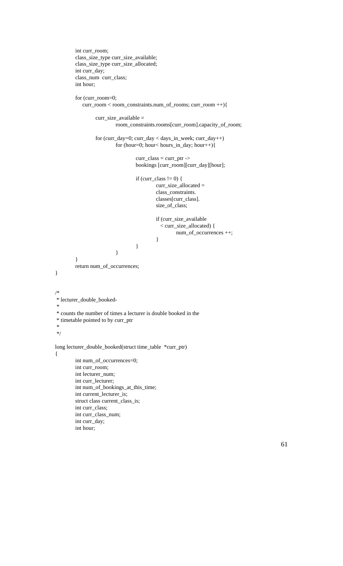```
int curr_room;
        class_size_type curr_size_available;
        class_size_type curr_size_allocated;
        int curr_day;
        class_num curr_class;
        int hour;
        for (curr_room=0;
            curr_room < room_constraints.num_of_rooms; curr_room ++){
                 curr_size_available =
                          room_constraints.rooms[curr_room].capacity_of_room;
                 for (curr_day=0; curr_day < days_in_week; curr_day++)
                          for (hour=0; hour< hours_in_day; hour++){
                                  curr\_class = curr\_ptr ->
                                  bookings [curr_room][curr_day][hour];
                                  if (curr_class != 0) {
                                           curr_size_allocated =
                                           class_constraints.
                                           classes[curr_class].
                                           size_of_class;
                                           if (curr_size_available
                                              < curr_size_allocated) {
                                                    num_of_occurrences ++;
                                           }
                                   }
                          }
        }
        return num_of_occurrences;
/*
 * lecturer_double_booked-
 *
 * counts the number of times a lecturer is double booked in the
 * timetable pointed to by curr_ptr
 *
 */
long lecturer_double_booked(struct time_table *curr_ptr)
        int num_of_occurrences=0;
        int curr_room;
        int lecturer_num;
        int curr_lecturer;
        int num_of_bookings_at_this_time;
        int current_lecturer_is;
        struct class current_class_is;
        int curr_class;
        int curr_class_num;
        int curr_day;
```
}

 $\{$ 

int hour;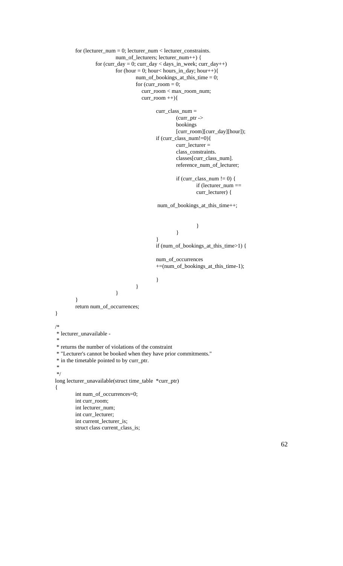```
for (lecturer_num = 0; lecturer_num < lecturer_constraints.
                         num_of_lecturers; lecturer_num++) {
                 for (curr_day = 0; curr_day < days_in-week; curr_day++)for (hour = 0; hour< hours_in_day; hour++){
                                  num_of_bookings_at_this_time = 0;
                                  for curr\_room = 0;
                                      curr_room < max_room_num;
                                     curr\_room ++)\{curr_class_num =
                                                    (curr_ptr ->
                                                    bookings
                                                    [curr_room][curr_day][hour]);
                                           if (curr_class_num!=0){
                                                    curr_lecturer =
                                                    class_constraints.
                                                    classes[curr_class_num].
                                                    reference_num_of_lecturer;
                                                    if (curr_class_num != 0) {
                                                            if (lecturer_num ==
                                                            curr_lecturer) {
                                            num_of_bookings_at_this_time++;
                                                             }
                                                    }
                                           }
                                           if (num_of_bookings_at_this_time>1) {
                                           num_of_occurrences
                                           +=(num_of_bookings_at_this_time-1);
                                           }
                                  }
                          }
        }
        return num_of_occurrences;
}
/*
 * lecturer_unavailable -
 *
 * returns the number of violations of the constraint
 * "Lecturer's cannot be booked when they have prior commitments."
 * in the timetable pointed to by curr_ptr.
 *
 */
long lecturer_unavailable(struct time_table *curr_ptr)
{
        int num_of_occurrences=0;
        int curr_room;
        int lecturer_num;
        int curr_lecturer;
        int current_lecturer_is;
        struct class current_class_is;
```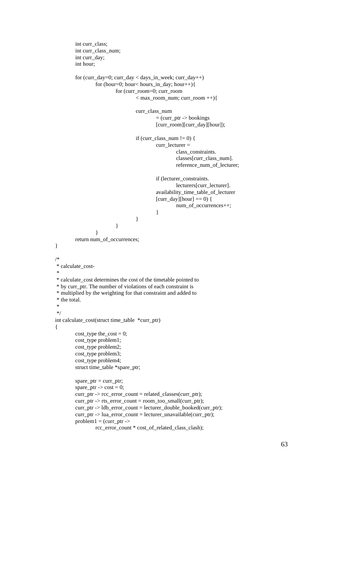```
int curr_class;
         int curr_class_num;
         int curr_day;
         int hour;
         for (curr_day=0; curr_day < days_in_week; curr_day++)
                  for (hour=0; hour< hours_in_day; hour++){
                           for (curr_room=0; curr_room
                                    < max_room_num; curr_room ++){
                                    curr_class_num
                                             = (curr_ptr -> bookings
                                             [curr_room][curr_day][hour]);
                                    if (curr_class_num != 0) {
                                             curr_lecturer =
                                                      class_constraints.
                                                      classes[curr_class_num].
                                                      reference_num_of_lecturer;
                                             if (lecturer_constraints.
                                                      lecturers[curr_lecturer].
                                             availability_time_table_of_lecturer
                                             \left[ \text{curr\_day}\right]   <br>[[hour] == 0)   <br>{
                                                      num_of_occurrences++;
                                             }
                                    }
                           }
                  }
        return num_of_occurrences;
}
/*
 * calculate_cost-
 *
 * calculate_cost determines the cost of the timetable pointed to
 * by curr_ptr. The number of violations of each constraint is
 * multiplied by the weighting for that constraint and added to
 * the total.
 *
 */
int calculate_cost(struct time_table *curr_ptr)
{
         cost\_type thecost = 0;
        cost_type problem1;
        cost_type problem2;
         cost_type problem3;
         cost_type problem4;
         struct time_table *spare_ptr;
         space\_ptr = curr\_ptr;space\_ptr \rightarrow cost = 0;curr_ptr -> rcc_error_count = related_classes(curr_ptr);
        curr_ptr -> rts_error_count = room_too_small(curr_ptr);
         curr_ptr -> ldb_error_count = lecturer_double_booked(curr_ptr);
         curr_ptr -> lua_error_count = lecturer_unavailable(curr_ptr);
        problem1 = (curr\_ptr ->
```

```
rcc_error_count * cost_of_related_class_clash);
```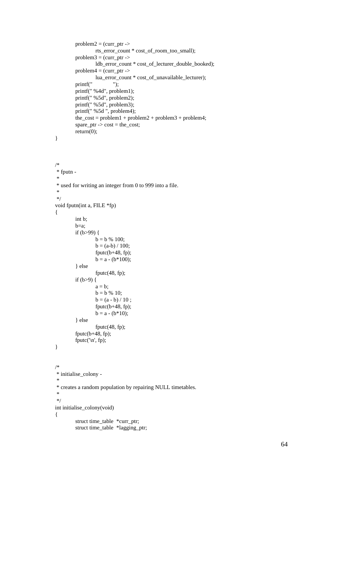```
problem2 = (curr\_ptr ->rts_error_count * cost_of_room_too_small);
        problem3 = (curr\_ptr ->ldb_error_count * cost_of_lecturer_double_booked);
        problem4 = (curr\_ptr ->lua_error_count * cost_of_unavailable_lecturer);
         printf(" ");
         printf(" %4d", problem1);
         printf(" %5d", problem2);
         printf(" %5d", problem3);
        printf(" %5d", problem4);
        the_cost = problem1 + problem2 + problem3 + problem4;
        space\_ptr -> cost = the\_cost;
        return(0);
}
/*
 * fputn -
 *
 * used for writing an integer from 0 to 999 into a file.
 *
 */
void fputn(int a, FILE *fp)
{
        int b;
        b=a;
        if (b > 99) {
                 b = b \, \% \, 100;b = (a-b) / 100;fputc(b+48, fp);
                 b = a - (b * 100);} else
                 fputc(48, fp);
        if (b>9) {
                 a = b;
                 b = b \, \% \, 10;b = (a - b) / 10;
                 fputc(b+48, fp);
                 b = a - (b*10);} else
                 fputc(48, fp);
         fputc(b+48, fp);
         fputc(\ln, fp);}
/*
 * initialise_colony -
 *
 * creates a random population by repairing NULL timetables.
 *
 */
int initialise_colony(void)
{
        struct time_table *curr_ptr;
        struct time_table *lagging_ptr;
```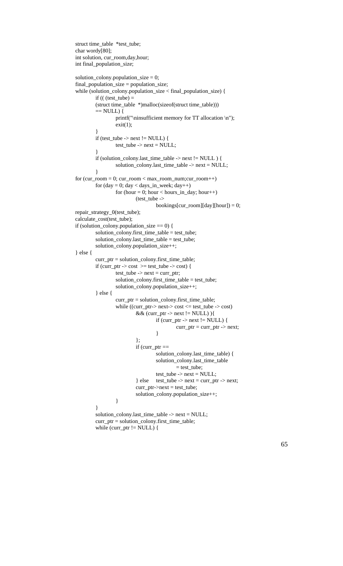```
struct time_table *test_tube;
char wordy[80];
int solution, cur_room,day,hour;
int final_population_size;
solution_colony.population_size = 0;
final_population_size = population_size;
while (solution_colony.population_size < final_population_size) {
         if (( (test_tube) =
         (struct time_table *)malloc(sizeof(struct time_table)))
         == NULL) {
                  printf("\ninsufficient memory for TT allocation \n");
                  exit(1);}
         if (test_tube -> next != NULL) {
                  test\_tube \rightarrow next = NULL;}
         if (solution_colony.last_time_table -> next != NULL ) {
                  solution_colony.last_time_table -> next = NULL;
         }
for (cur\_room = 0; cur\_room < max\_room\_num; cur\_room++)for (day = 0; day < day < jn</math> , week; day++)for (hour = 0; hour < hours_in_day; hour++)
                            (test_tube ->
                                     bookings[cur_room][day][hour]) = 0;
repair_strategy_0(test_tube);
calculate_cost(test_tube);
if (solution_colony.population_size == 0) {
         solution_colony.first_time_table = test_tube;
         solution_colony.last_time_table = test_tube;
         solution_colony.population_size++;
} else {
         curr_ptr = solution_colony.first_time_table;
         if (curr_ptr -> cost >= test_tube -> cost) {
                  test\_tube \rightarrow next = curr\_ptr;solution_colony.first_time_table = test_tube;
                   solution_colony.population_size++;
         } else {
                  curr_ptr = solution_colony.first_time_table;
                   while ((\text{curr\_ptr} > \text{next} > \text{cost} \leq \text{test\_tube} \rightarrow \text{cost})&\& (curr_ptr -> next != NULL)){
                                     if (curr_ptr -> next != NULL) {
                                              curr\_ptr = curr\_ptr \rightarrow next;}
                            };
                            if (curr_ptr ==
                                     solution_colony.last_time_table) {
                                     solution_colony.last_time_table
                                              = test_tube;
                                     test\_tube \rightarrow next = NULL;} else test_tube -> next = curr_ptr -> next;
                            curr\_ptr\geq next = test\_tube;solution_colony.population_size++;
                   }
         }
         solution_colony.last_time_table -> next = NULL;
         curr_ptr = solution_colony.first_time_table;
```

```
while (curr_ptr != NULL) {
```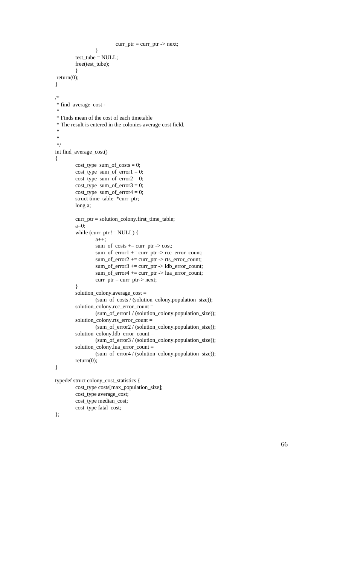```
curr\_ptr = curr\_ptr - next;
                 }
        test_tube = NULL;
        free(test_tube);
         }
 return(0);
}
/*
 * find_average_cost -
 *
 * Finds mean of the cost of each timetable
 * The result is entered in the colonies average cost field.
 *
 *
 */
int find_average_cost()
{
        cost_type sum_of\_costs = 0;cost\_type \ sum\_of\_error1 = 0;cost_type sum_of_error2 = 0;cost_type sum_of_error3 = 0;cost_type sum_of_error4 = 0;
        struct time_table *curr_ptr;
        long a;
        curr_ptr = solution_colony.first_time_table;
        a=0;
        while (curr_ptr != NULL) {
                 a++;
                 sum_of\_costs += curr\_ptr -> cost;sum_of_error1 += curr_ptr -> rcc_error_count;
                 sum_of_error2 += curr_ptr -> rts_error_count;
                 sum_of_error3 += curr_ptr -> ldb_error_count;
                 sum_of_error4 += curr_ptr -> lua_error_count;
                 curr\_ptr = curr\_ptr > next;}
         solution_colony.average_cost =
                 (sum_of_costs / (solution_colony.population_size));
         solution_colony.rcc_error_count =
                 (sum_of_error1 / (solution_colony.population_size));
         solution_colony.rts_error_count =
                 (sum_of_error2 / (solution_colony.population_size));
         solution_colony.ldb_error_count =
                 (sum_of_error3 / (solution_colony.population_size));
         solution_colony.lua_error_count =
                 (sum_of_error4 / (solution_colony.population_size));
        return(0);
}
```

```
typedef struct colony_cost_statistics {
        cost_type costs[max_population_size];
        cost_type average_cost;
        cost_type median_cost;
        cost_type fatal_cost;
```

```
};
```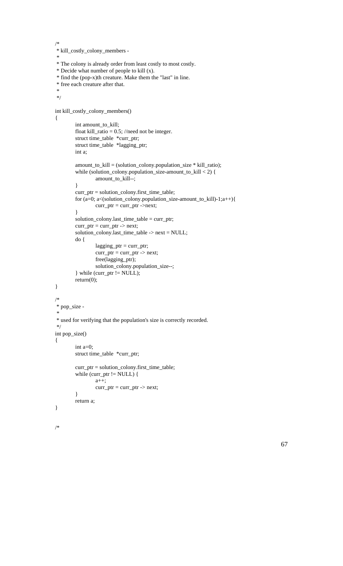```
/*
 * kill_costly_colony_members -
 *
 * The colony is already order from least costly to most costly.
 * Decide what number of people to kill (x).
 * find the (pop-x)th creature. Make them the "last" in line.
 * free each creature after that.
 *
 */
int kill_costly_colony_members()
{
         int amount_to_kill;
         float kill_ratio = 0.5; //need not be integer.
         struct time_table *curr_ptr;
         struct time_table *lagging_ptr;
        int a;
         amount_to_kill = (solution_colony.population_size * kill_ratio);
         while (solution_colony.population_size-amount_to_kill < 2) {
                  amount_to_kill--;
         }
         curr_ptr = solution_colony.first_time_table;
         for (a=0; a<(solution_colony.population_size-amount_to_kill)-1;a++){
                  curr\_ptr = curr\_ptr ->next;}
        solution_colony.last_time_table = curr_ptr;
        curr\_ptr = curr\_ptr - next;
         solution_colony.last_time_table -> next = NULL;
         do {
                  lagging_ptr = curr_ptr;curr\_ptr = curr\_ptr \rightarrow next;free(lagging_ptr);
                  solution_colony.population_size--;
         } while (curr_ptr != NULL);
        return(0);
}
/*
 * pop_size -
 *
 * used for verifying that the population's size is correctly recorded.
 */
int pop_size()
{
         int a=0;
        struct time_table *curr_ptr;
         curr_ptr = solution_colony.first_time_table;
         while (curr_ptr != NULL) {
                  a++;
                  curr\_ptr = curr\_ptr - next;
         }
        return a;
}
/*
```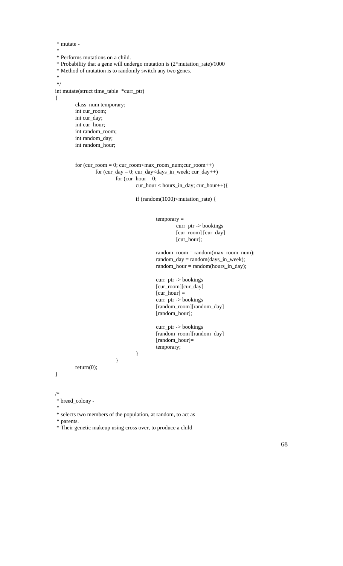```
 * mutate -
 *
 * Performs mutations on a child.
 * Probability that a gene will undergo mutation is (2*mutation_rate)/1000
 * Method of mutation is to randomly switch any two genes.
 *
 */
int mutate(struct time_table *curr_ptr)
{
        class_num temporary;
        int cur_room;
        int cur_day;
        int cur_hour;
        int random_room;
        int random_day;
        int random_hour;
        for (cur\_room = 0; cur\_room<max\_room_number;cur\_room++)for (cur_day = 0; cur_day <days_in_week; cur_day++)
                         for cur\_hour = 0;
                                 cur_hour < hours_in_day; cur_hour++){
                                 if (random(1000)<mutation_rate) {
                                          temporary =
                                                  curr_ptr -> bookings
                                                  [cur_room] [cur_day]
                                                  [cur_hour];
                                          random_room = random(max_room_num);
                                          random_day = random(days_in_week);
                                          random\_hour = random(hours_in\_day);curr_ptr -> bookings
                                          [cur_room][cur_day]
                                          [cur\_hour] =curr_ptr -> bookings
                                          [random_room][random_day]
                                          [random_hour];
                                          curr_ptr -> bookings
                                          [random_room][random_day]
                                          [random_hour]=
                                          temporary;
                                 }
                         }
        return(0);
}
```
/\*

\* breed\_colony -

\*

\* selects two members of the population, at random, to act as

\* parents.

\* Their genetic makeup using cross over, to produce a child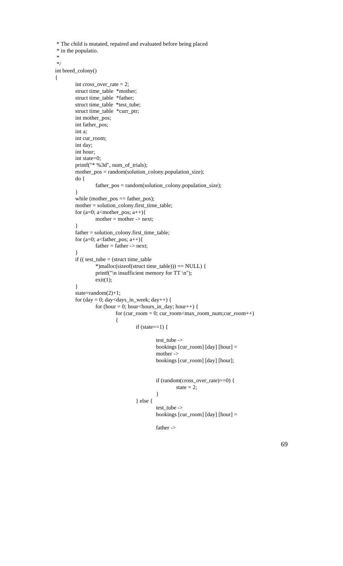```
 * The child is mutated, repaired and evaluated before being placed
 * in the populatio.
 */
int breed_colony()
         int cross_over_rate = 2;
         struct time_table *mother;
         struct time_table *father;
         struct time_table *test_tube;
         struct time_table *curr_ptr;
         int mother_pos;
         int father_pos;
         int a;
         int cur_room;
         int day;
         int hour;
         int state=0;
         printf("* %3d", num_of_trials);
         mother_pos = random(solution_colony.population_size);
         do {
                  father_pos = random(solution_colony.population_size);
         }
         while (mother_pos == father_pos);
         mother = solution_colony.first_time_table;
         for (a=0; a\text{1}) a\text{1}mother = mother \rightarrow next;}
         father = solution_colony.first_time_table;
         for (a=0; a <father_pos; a++){
                  father = father \rightarrow next;}
         if (( test_tube = (struct time_table
                  *)malloc(sizeof(struct time_table))) == NULL) {
                  printf("\n insufficient memory for TT \n");
                  exit(1);}
         state=random(2)+1;
         for (\text{day} = 0; \text{day} < \text{days} \cdot \text{in} \cdot \text{week}; \text{day++}) {
                  for (hour = 0; hour<hours_in_day; hour++) {
                           for (cur\_room = 0; cur\_room<max\_room\_num;cur\_room++){
                                     if (state==1) {
                                              test_tube ->
                                              bookings [cur_room] [day] [hour] =
                                              mother ->
                                              bookings [cur_room] [day] [hour];
                                              if (random(cross_over_rate)==0) {
                                                        state = 2;
                                               }
                                     } else {
                                              test_tube ->
                                              bookings [cur_room] [day] [hour] =
                                              father ->
```
\*

{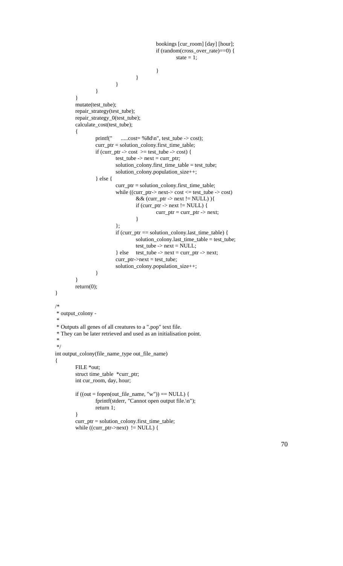```
bookings [cur_room] [day] [hour];
                                              if (random(cross_over_rate)==0) {
                                                       state = 1;
                                              }
                                     }
                           }
                  }
         }
         mutate(test_tube);
         repair_strategy(test_tube);
         repair_strategy_0(test_tube);
         calculate_cost(test_tube);
         {
                  printf(" .....cost= %8d\n", test_tube -> cost);
                  curr_ptr = solution_colony.first_time_table;
                  if (curr_ptr -> cost >= test_tube -> cost) {
                           test\_tube \rightarrow next = curr\_ptr;solution_colony.first_time_table = test_tube;
                           solution_colony.population_size++;
                  } else {
                           curr_ptr = solution_colony.first_time_table;
                           while ((curr_ptr-> next-> cost <= test_tube -> cost)
                                    && (curr_ptr -> next != NULL) ){
                                    if (curr_ptr -> next != NULL) {
                                             curr\_ptr = curr\_ptr - next;
                                     }
                           };
                           if (curr_ptr == solution_colony.last_time_table) {
                                    solution_colony.last_time_table = test_tube;
                                    test\_tube \rightarrow next = NULL;} else test_tube -> next = curr_ptr -> next;
                           curr\_ptr > next = test_tube;
                           solution_colony.population_size++;
                  }
         }
         return(0);
 * output_colony -
 * Outputs all genes of all creatures to a ".pop" text file.
 * They can be later retrieved and used as an initialisation point.
int output_colony(file_name_type out_file_name)
         FILE *out;
         struct time_table *curr_ptr;
         int cur_room, day, hour;
         if ((out = fopen(out_file_name, "w")) == NULL) {
                  fprintf(stderr, "Cannot open output file.\n");
                  return 1;
         }
         curr_ptr = solution_colony.first_time_table;
         while ((\text{curr\_ptr} > \text{next}) != NULL) {
```
}

/\*

\*

 \* \*/

{